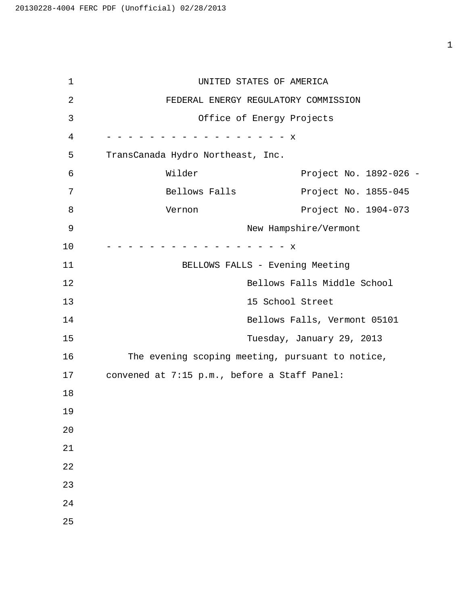1 UNITED STATES OF AMERICA 2 FEDERAL ENERGY REGULATORY COMMISSION 3 Office of Energy Projects 4 - - - - - - - - - - - - - - - - - x 5 TransCanada Hydro Northeast, Inc. 6 Wilder Project No. 1892-026 - 7 Bellows Falls Project No. 1855-045 8 Vernon Vernon Project No. 1904-073 9 New Hampshire/Vermont 10 - - - - - - - - - - - - - - - - - x 11 BELLOWS FALLS - Evening Meeting 12 Bellows Falls Middle School 13 15 School Street 14 Bellows Falls, Vermont 05101 15 Tuesday, January 29, 2013 16 The evening scoping meeting, pursuant to notice, 17 convened at 7:15 p.m., before a Staff Panel: 18 19 20 21 22 23 24 25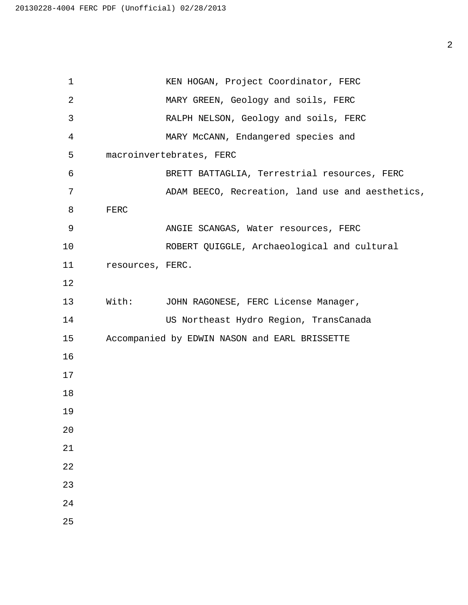1 KEN HOGAN, Project Coordinator, FERC 2 MARY GREEN, Geology and soils, FERC 3 RALPH NELSON, Geology and soils, FERC 4 MARY McCANN, Endangered species and macroinvertebrates, FERC 6 BRETT BATTAGLIA, Terrestrial resources, FERC 7 ADAM BEECO, Recreation, land use and aesthetics, FERC 9 ANGIE SCANGAS, Water resources, FERC 10 ROBERT QUIGGLE, Archaeological and cultural resources, FERC. With: JOHN RAGONESE, FERC License Manager, 14 US Northeast Hydro Region, TransCanada Accompanied by EDWIN NASON and EARL BRISSETTE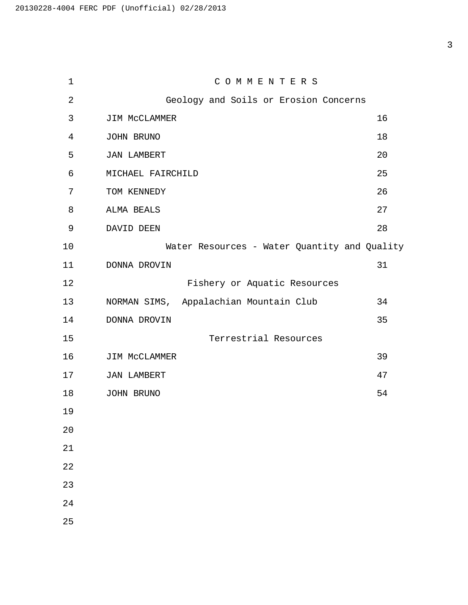1 C O M M E N T E R S 2 Geology and Soils or Erosion Concerns 3 JIM MCCLAMMER 16 JOHN BRUNO 18 JAN LAMBERT 20 MICHAEL FAIRCHILD 25 TOM KENNEDY 26 ALMA BEALS 27 DAVID DEEN 28 10 Water Resources - Water Quantity and Quality DONNA DROVIN 31 12 Fishery or Aquatic Resources NORMAN SIMS, Appalachian Mountain Club 34 14 DONNA DROVIN 35 15 Terrestrial Resources JIM McCLAMMER 39 JAN LAMBERT 47 JOHN BRUNO 54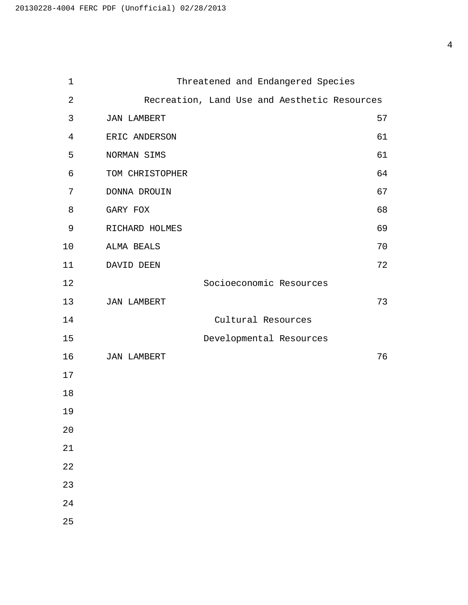| $\mathbf 1$    | Threatened and Endangered Species            |    |
|----------------|----------------------------------------------|----|
| $\sqrt{2}$     | Recreation, Land Use and Aesthetic Resources |    |
| 3              | <b>JAN LAMBERT</b>                           | 57 |
| $\overline{4}$ | ERIC ANDERSON                                | 61 |
| 5              | NORMAN SIMS                                  | 61 |
| 6              | TOM CHRISTOPHER                              | 64 |
| 7              | DONNA DROUIN                                 | 67 |
| 8              | GARY FOX                                     | 68 |
| 9              | RICHARD HOLMES                               | 69 |
| 10             | ALMA BEALS                                   | 70 |
| 11             | DAVID DEEN                                   | 72 |
| 12             | Socioeconomic Resources                      |    |
| 13             | <b>JAN LAMBERT</b>                           | 73 |
| 14             | Cultural Resources                           |    |
| 15             | Developmental Resources                      |    |
| 16             | <b>JAN LAMBERT</b>                           | 76 |
| 17             |                                              |    |
| 18             |                                              |    |
| 19             |                                              |    |
| 20             |                                              |    |
| 21             |                                              |    |
| 22             |                                              |    |
| 23             |                                              |    |
| 24             |                                              |    |
| 25             |                                              |    |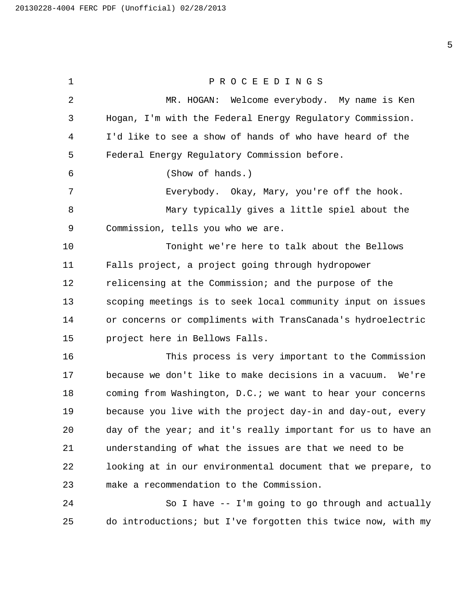1 PROCEEDINGS 2 MR. HOGAN: Welcome everybody. My name is Ken Hogan, I'm with the Federal Energy Regulatory Commission. I'd like to see a show of hands of who have heard of the Federal Energy Regulatory Commission before. 6 (Show of hands.) 7 Everybody. Okay, Mary, you're off the hook. 8 Mary typically gives a little spiel about the Commission, tells you who we are. 10 Tonight we're here to talk about the Bellows Falls project, a project going through hydropower relicensing at the Commission; and the purpose of the scoping meetings is to seek local community input on issues or concerns or compliments with TransCanada's hydroelectric project here in Bellows Falls. 16 This process is very important to the Commission because we don't like to make decisions in a vacuum. We're coming from Washington, D.C.; we want to hear your concerns because you live with the project day-in and day-out, every day of the year; and it's really important for us to have an understanding of what the issues are that we need to be looking at in our environmental document that we prepare, to make a recommendation to the Commission. 24 So I have -- I'm going to go through and actually

do introductions; but I've forgotten this twice now, with my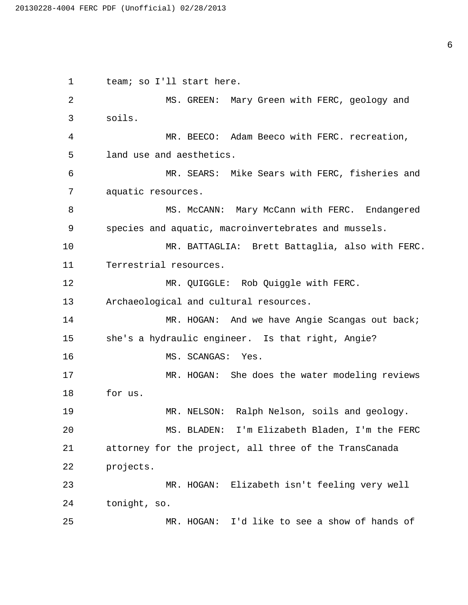1 team; so I'll start here. 2 MS. GREEN: Mary Green with FERC, geology and 3 soils. 4 MR. BEECO: Adam Beeco with FERC. recreation, 5 land use and aesthetics. 6 MR. SEARS: Mike Sears with FERC, fisheries and 7 aquatic resources. 8 MS. McCANN: Mary McCann with FERC. Endangered 9 species and aquatic, macroinvertebrates and mussels. 10 MR. BATTAGLIA: Brett Battaglia, also with FERC. 11 Terrestrial resources. 12 MR. QUIGGLE: Rob Quiggle with FERC. 13 Archaeological and cultural resources. 14 MR. HOGAN: And we have Angie Scangas out back; 15 she's a hydraulic engineer. Is that right, Angie? 16 MS. SCANGAS: Yes. 17 MR. HOGAN: She does the water modeling reviews 18 for us. 19 MR. NELSON: Ralph Nelson, soils and geology. 20 MS. BLADEN: I'm Elizabeth Bladen, I'm the FERC 21 attorney for the project, all three of the TransCanada 22 projects. 23 MR. HOGAN: Elizabeth isn't feeling very well 24 tonight, so. 25 MR. HOGAN: I'd like to see a show of hands of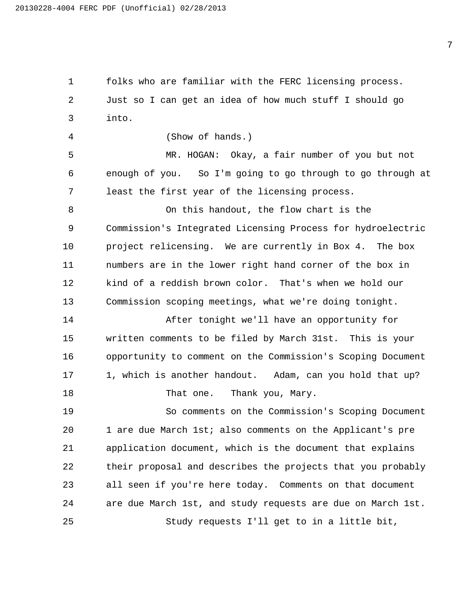folks who are familiar with the FERC licensing process. Just so I can get an idea of how much stuff I should go into.

4 (Show of hands.)

5 MR. HOGAN: Okay, a fair number of you but not enough of you. So I'm going to go through to go through at least the first year of the licensing process.

8 On this handout, the flow chart is the Commission's Integrated Licensing Process for hydroelectric project relicensing. We are currently in Box 4. The box numbers are in the lower right hand corner of the box in kind of a reddish brown color. That's when we hold our Commission scoping meetings, what we're doing tonight.

14 After tonight we'll have an opportunity for written comments to be filed by March 31st. This is your opportunity to comment on the Commission's Scoping Document 1, which is another handout. Adam, can you hold that up? 18 That one. Thank you, Mary.

19 So comments on the Commission's Scoping Document 1 are due March 1st; also comments on the Applicant's pre application document, which is the document that explains their proposal and describes the projects that you probably all seen if you're here today. Comments on that document are due March 1st, and study requests are due on March 1st. 25 Study requests I'll get to in a little bit,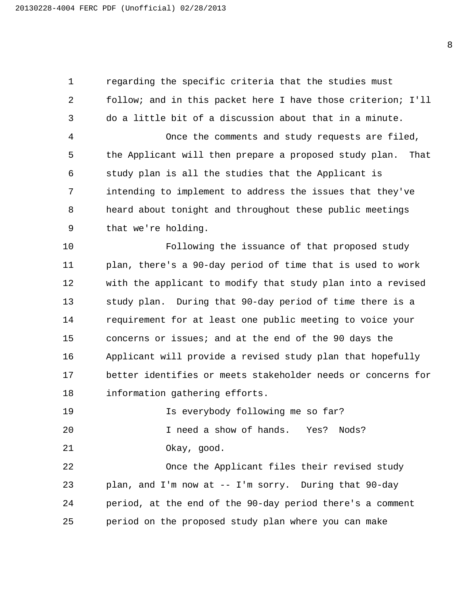regarding the specific criteria that the studies must follow; and in this packet here I have those criterion; I'll do a little bit of a discussion about that in a minute. 4 Once the comments and study requests are filed, the Applicant will then prepare a proposed study plan. That study plan is all the studies that the Applicant is intending to implement to address the issues that they've heard about tonight and throughout these public meetings that we're holding.

10 Following the issuance of that proposed study plan, there's a 90-day period of time that is used to work with the applicant to modify that study plan into a revised study plan. During that 90-day period of time there is a requirement for at least one public meeting to voice your concerns or issues; and at the end of the 90 days the Applicant will provide a revised study plan that hopefully better identifies or meets stakeholder needs or concerns for information gathering efforts.

19 Is everybody following me so far?

20 I need a show of hands. Yes? Nods? 21 Okay, good.

22 Once the Applicant files their revised study plan, and I'm now at -- I'm sorry. During that 90-day period, at the end of the 90-day period there's a comment period on the proposed study plan where you can make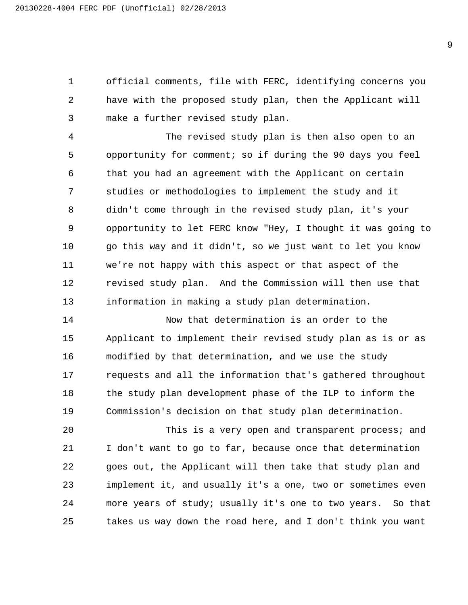official comments, file with FERC, identifying concerns you have with the proposed study plan, then the Applicant will make a further revised study plan.

4 The revised study plan is then also open to an opportunity for comment; so if during the 90 days you feel that you had an agreement with the Applicant on certain studies or methodologies to implement the study and it didn't come through in the revised study plan, it's your opportunity to let FERC know "Hey, I thought it was going to go this way and it didn't, so we just want to let you know we're not happy with this aspect or that aspect of the revised study plan. And the Commission will then use that information in making a study plan determination.

14 Now that determination is an order to the Applicant to implement their revised study plan as is or as modified by that determination, and we use the study requests and all the information that's gathered throughout the study plan development phase of the ILP to inform the Commission's decision on that study plan determination.

20 This is a very open and transparent process; and I don't want to go to far, because once that determination goes out, the Applicant will then take that study plan and implement it, and usually it's a one, two or sometimes even more years of study; usually it's one to two years. So that takes us way down the road here, and I don't think you want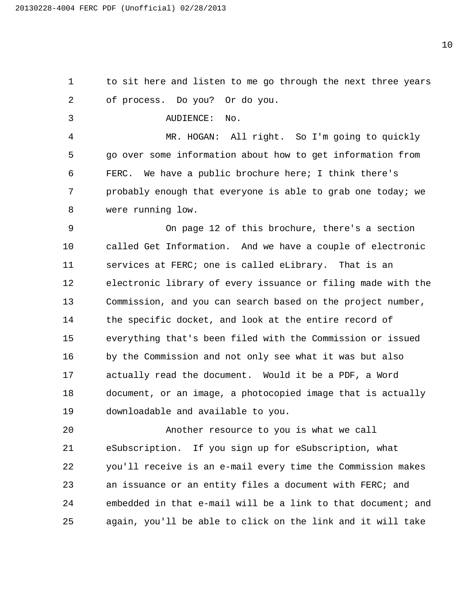to sit here and listen to me go through the next three years of process. Do you? Or do you.

3 AUDIENCE: No.

4 MR. HOGAN: All right. So I'm going to quickly go over some information about how to get information from FERC. We have a public brochure here; I think there's probably enough that everyone is able to grab one today; we were running low.

9 On page 12 of this brochure, there's a section called Get Information. And we have a couple of electronic services at FERC; one is called eLibrary. That is an electronic library of every issuance or filing made with the Commission, and you can search based on the project number, the specific docket, and look at the entire record of everything that's been filed with the Commission or issued by the Commission and not only see what it was but also actually read the document. Would it be a PDF, a Word document, or an image, a photocopied image that is actually downloadable and available to you.

20 Another resource to you is what we call eSubscription. If you sign up for eSubscription, what you'll receive is an e-mail every time the Commission makes an issuance or an entity files a document with FERC; and embedded in that e-mail will be a link to that document; and again, you'll be able to click on the link and it will take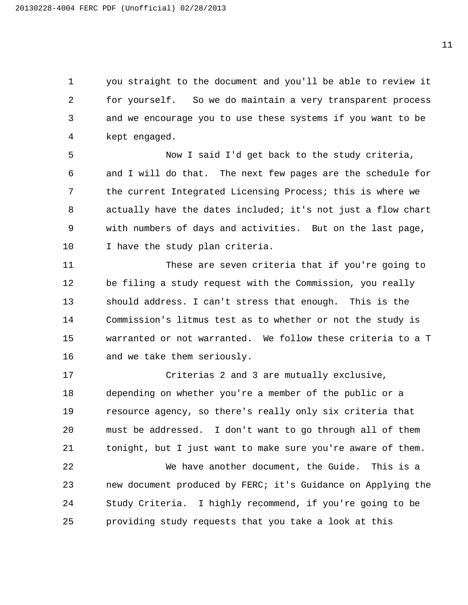you straight to the document and you'll be able to review it for yourself. So we do maintain a very transparent process and we encourage you to use these systems if you want to be kept engaged.

5 Now I said I'd get back to the study criteria, and I will do that. The next few pages are the schedule for the current Integrated Licensing Process; this is where we actually have the dates included; it's not just a flow chart with numbers of days and activities. But on the last page, I have the study plan criteria.

11 These are seven criteria that if you're going to be filing a study request with the Commission, you really should address. I can't stress that enough. This is the Commission's litmus test as to whether or not the study is warranted or not warranted. We follow these criteria to a T and we take them seriously.

17 Criterias 2 and 3 are mutually exclusive, depending on whether you're a member of the public or a resource agency, so there's really only six criteria that must be addressed. I don't want to go through all of them tonight, but I just want to make sure you're aware of them.

22 We have another document, the Guide. This is a new document produced by FERC; it's Guidance on Applying the Study Criteria. I highly recommend, if you're going to be providing study requests that you take a look at this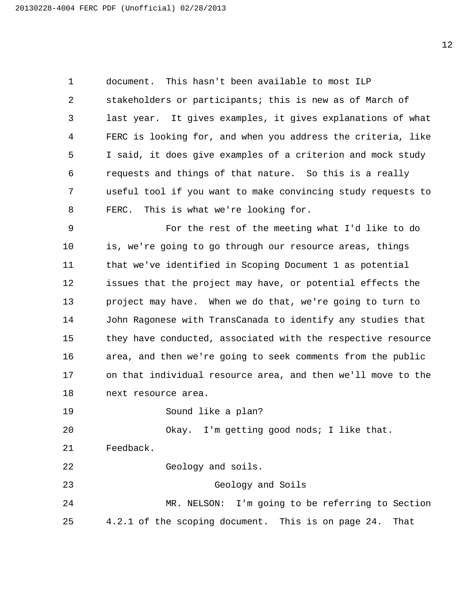document. This hasn't been available to most ILP stakeholders or participants; this is new as of March of last year. It gives examples, it gives explanations of what FERC is looking for, and when you address the criteria, like I said, it does give examples of a criterion and mock study requests and things of that nature. So this is a really useful tool if you want to make convincing study requests to FERC. This is what we're looking for.

9 For the rest of the meeting what I'd like to do is, we're going to go through our resource areas, things that we've identified in Scoping Document 1 as potential issues that the project may have, or potential effects the project may have. When we do that, we're going to turn to John Ragonese with TransCanada to identify any studies that they have conducted, associated with the respective resource area, and then we're going to seek comments from the public on that individual resource area, and then we'll move to the next resource area.

19 Sound like a plan?

20 Okay. I'm getting good nods; I like that.

Feedback.

22 Geology and soils.

23 Geology and Soils

24 MR. NELSON: I'm going to be referring to Section 4.2.1 of the scoping document. This is on page 24. That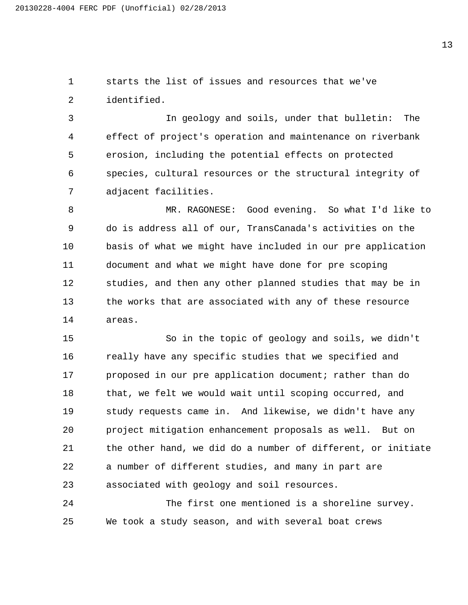starts the list of issues and resources that we've identified.

3 In geology and soils, under that bulletin: The effect of project's operation and maintenance on riverbank erosion, including the potential effects on protected species, cultural resources or the structural integrity of adjacent facilities.

8 MR. RAGONESE: Good evening. So what I'd like to do is address all of our, TransCanada's activities on the basis of what we might have included in our pre application document and what we might have done for pre scoping studies, and then any other planned studies that may be in the works that are associated with any of these resource areas.

15 So in the topic of geology and soils, we didn't 16 really have any specific studies that we specified and 17 proposed in our pre application document; rather than do that, we felt we would wait until scoping occurred, and study requests came in. And likewise, we didn't have any project mitigation enhancement proposals as well. But on the other hand, we did do a number of different, or initiate a number of different studies, and many in part are associated with geology and soil resources.

24 The first one mentioned is a shoreline survey. We took a study season, and with several boat crews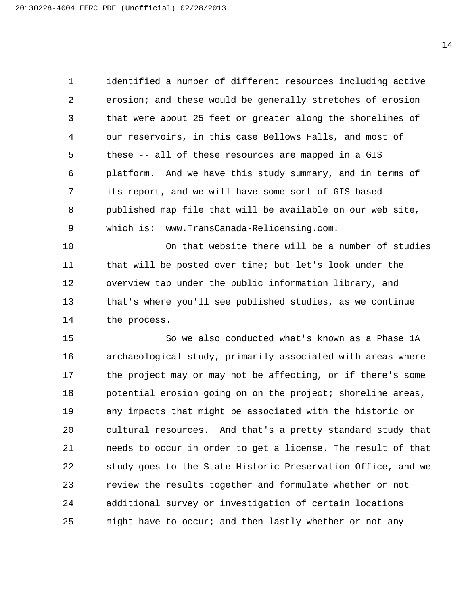identified a number of different resources including active erosion; and these would be generally stretches of erosion that were about 25 feet or greater along the shorelines of our reservoirs, in this case Bellows Falls, and most of these -- all of these resources are mapped in a GIS platform. And we have this study summary, and in terms of its report, and we will have some sort of GIS-based published map file that will be available on our web site, which is: www.TransCanada-Relicensing.com.

10 On that website there will be a number of studies that will be posted over time; but let's look under the overview tab under the public information library, and that's where you'll see published studies, as we continue the process.

15 So we also conducted what's known as a Phase 1A archaeological study, primarily associated with areas where the project may or may not be affecting, or if there's some potential erosion going on on the project; shoreline areas, any impacts that might be associated with the historic or cultural resources. And that's a pretty standard study that needs to occur in order to get a license. The result of that study goes to the State Historic Preservation Office, and we review the results together and formulate whether or not additional survey or investigation of certain locations 25 might have to occur; and then lastly whether or not any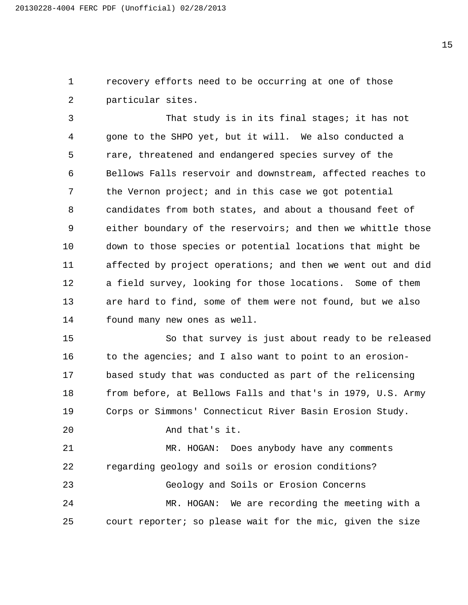recovery efforts need to be occurring at one of those particular sites.

3 That study is in its final stages; it has not gone to the SHPO yet, but it will. We also conducted a rare, threatened and endangered species survey of the Bellows Falls reservoir and downstream, affected reaches to the Vernon project; and in this case we got potential candidates from both states, and about a thousand feet of either boundary of the reservoirs; and then we whittle those down to those species or potential locations that might be affected by project operations; and then we went out and did a field survey, looking for those locations. Some of them are hard to find, some of them were not found, but we also found many new ones as well.

15 So that survey is just about ready to be released 16 to the agencies; and I also want to point to an erosion- based study that was conducted as part of the relicensing 18 from before, at Bellows Falls and that's in 1979, U.S. Army Corps or Simmons' Connecticut River Basin Erosion Study.

20 And that's it.

21 MR. HOGAN: Does anybody have any comments regarding geology and soils or erosion conditions? 23 Geology and Soils or Erosion Concerns 24 MR. HOGAN: We are recording the meeting with a court reporter; so please wait for the mic, given the size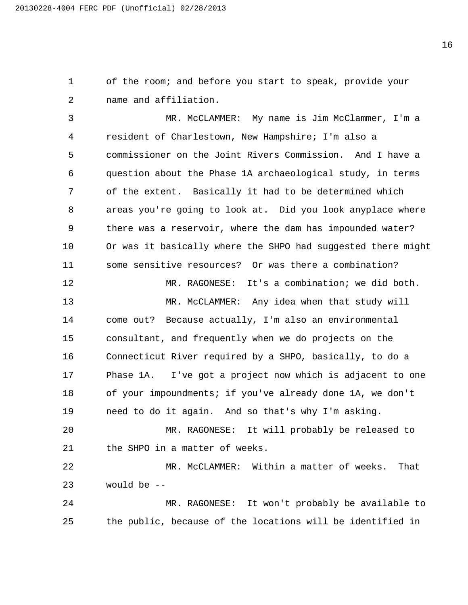of the room; and before you start to speak, provide your name and affiliation.

3 MR. McCLAMMER: My name is Jim McClammer, I'm a resident of Charlestown, New Hampshire; I'm also a commissioner on the Joint Rivers Commission. And I have a question about the Phase 1A archaeological study, in terms of the extent. Basically it had to be determined which areas you're going to look at. Did you look anyplace where there was a reservoir, where the dam has impounded water? Or was it basically where the SHPO had suggested there might some sensitive resources? Or was there a combination? 12 MR. RAGONESE: It's a combination; we did both. 13 MR. McCLAMMER: Any idea when that study will come out? Because actually, I'm also an environmental consultant, and frequently when we do projects on the Connecticut River required by a SHPO, basically, to do a Phase 1A. I've got a project now which is adjacent to one of your impoundments; if you've already done 1A, we don't need to do it again. And so that's why I'm asking. 20 MR. RAGONESE: It will probably be released to the SHPO in a matter of weeks.

22 MR. McCLAMMER: Within a matter of weeks. That would be --

24 MR. RAGONESE: It won't probably be available to the public, because of the locations will be identified in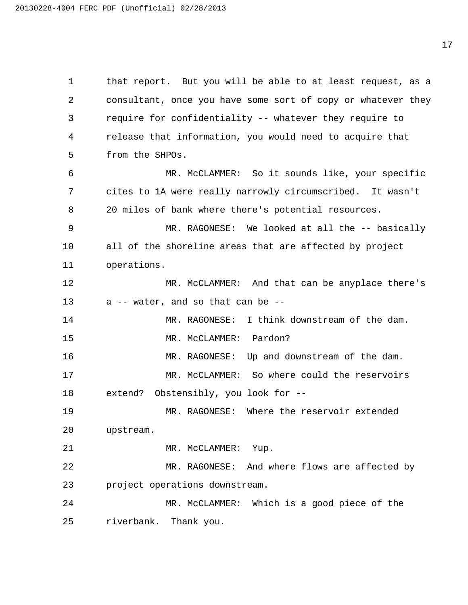1 that report. But you will be able to at least request, as a 2 consultant, once you have some sort of copy or whatever they 3 require for confidentiality -- whatever they require to 4 release that information, you would need to acquire that 5 from the SHPOs. 6 MR. McCLAMMER: So it sounds like, your specific 7 cites to 1A were really narrowly circumscribed. It wasn't 8 20 miles of bank where there's potential resources. 9 MR. RAGONESE: We looked at all the -- basically 10 all of the shoreline areas that are affected by project 11 operations. 12 MR. McCLAMMER: And that can be anyplace there's 13 a -- water, and so that can be -- 14 MR. RAGONESE: I think downstream of the dam. 15 MR. McCLAMMER: Pardon? 16 MR. RAGONESE: Up and downstream of the dam. 17 MR. McCLAMMER: So where could the reservoirs 18 extend? Obstensibly, you look for -- 19 MR. RAGONESE: Where the reservoir extended 20 upstream. 21 MR. McCLAMMER: Yup. 22 MR. RAGONESE: And where flows are affected by 23 project operations downstream. 24 MR. McCLAMMER: Which is a good piece of the 25 riverbank. Thank you.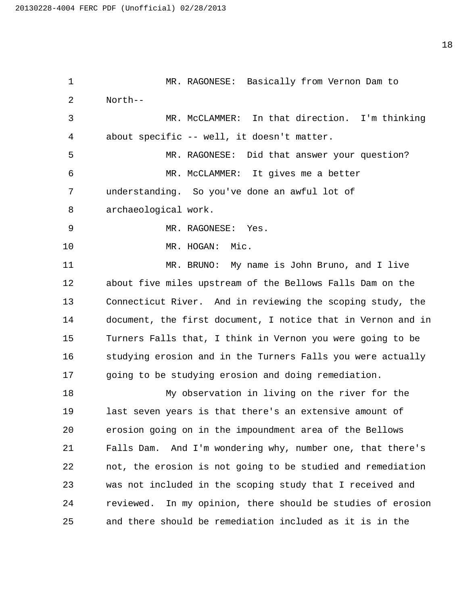1 MR. RAGONESE: Basically from Vernon Dam to North-- 3 MR. McCLAMMER: In that direction. I'm thinking about specific -- well, it doesn't matter. 5 MR. RAGONESE: Did that answer your question? 6 MR. McCLAMMER: It gives me a better understanding. So you've done an awful lot of archaeological work. 9 MR. RAGONESE: Yes. 10 MR. HOGAN: Mic. 11 MR. BRUNO: My name is John Bruno, and I live about five miles upstream of the Bellows Falls Dam on the Connecticut River. And in reviewing the scoping study, the document, the first document, I notice that in Vernon and in Turners Falls that, I think in Vernon you were going to be 16 studying erosion and in the Turners Falls you were actually going to be studying erosion and doing remediation. 18 My observation in living on the river for the last seven years is that there's an extensive amount of erosion going on in the impoundment area of the Bellows Falls Dam. And I'm wondering why, number one, that there's not, the erosion is not going to be studied and remediation was not included in the scoping study that I received and reviewed. In my opinion, there should be studies of erosion and there should be remediation included as it is in the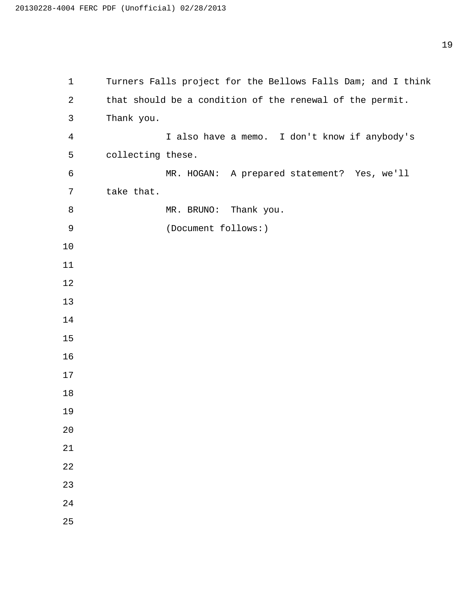| $\mathbf{1}$   | Turners Falls project for the Bellows Falls Dam; and I think |
|----------------|--------------------------------------------------------------|
| 2              | that should be a condition of the renewal of the permit.     |
| 3              | Thank you.                                                   |
| $\overline{4}$ | I also have a memo. I don't know if anybody's                |
| 5              | collecting these.                                            |
| 6              | MR. HOGAN: A prepared statement? Yes, we'll                  |
| 7              | take that.                                                   |
| 8              | MR. BRUNO: Thank you.                                        |
| $\mathsf 9$    | (Document follows:)                                          |
| 10             |                                                              |
| 11             |                                                              |
| 12             |                                                              |
| 13             |                                                              |
| 14             |                                                              |
| 15             |                                                              |
| 16             |                                                              |
| 17             |                                                              |
| 18             |                                                              |
| 19             |                                                              |
| 20             |                                                              |
| 21             |                                                              |
| 22             |                                                              |
| 23             |                                                              |
| 24             |                                                              |
| 25             |                                                              |
|                |                                                              |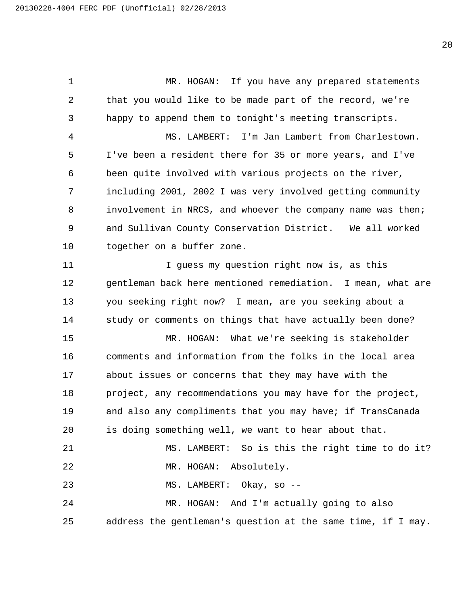1 MR. HOGAN: If you have any prepared statements 2 that you would like to be made part of the record, we're 3 happy to append them to tonight's meeting transcripts. 4 MS. LAMBERT: I'm Jan Lambert from Charlestown. 5 I've been a resident there for 35 or more years, and I've 6 been quite involved with various projects on the river, 7 including 2001, 2002 I was very involved getting community 8 involvement in NRCS, and whoever the company name was then; 9 and Sullivan County Conservation District. We all worked 10 together on a buffer zone. 11 11 I guess my question right now is, as this 12 gentleman back here mentioned remediation. I mean, what are 13 you seeking right now? I mean, are you seeking about a 14 study or comments on things that have actually been done? 15 MR. HOGAN: What we're seeking is stakeholder 16 comments and information from the folks in the local area 17 about issues or concerns that they may have with the 18 project, any recommendations you may have for the project, 19 and also any compliments that you may have; if TransCanada 20 is doing something well, we want to hear about that. 21 MS. LAMBERT: So is this the right time to do it? 22 MR. HOGAN: Absolutely. 23 MS. LAMBERT: Okay, so -- 24 MR. HOGAN: And I'm actually going to also 25 address the gentleman's question at the same time, if I may.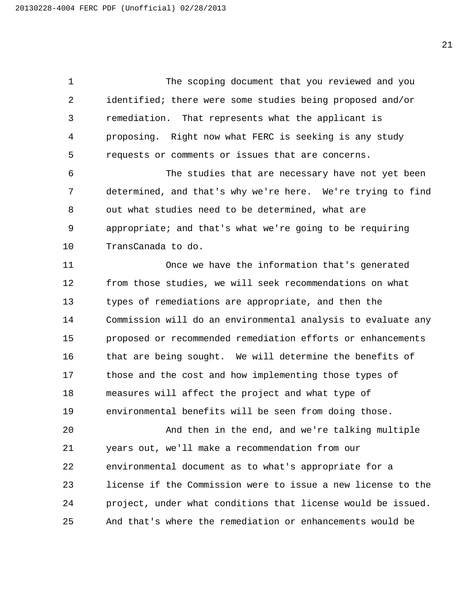1 The scoping document that you reviewed and you identified; there were some studies being proposed and/or remediation. That represents what the applicant is proposing. Right now what FERC is seeking is any study requests or comments or issues that are concerns.

6 The studies that are necessary have not yet been determined, and that's why we're here. We're trying to find out what studies need to be determined, what are appropriate; and that's what we're going to be requiring TransCanada to do.

11 Once we have the information that's generated from those studies, we will seek recommendations on what types of remediations are appropriate, and then the Commission will do an environmental analysis to evaluate any proposed or recommended remediation efforts or enhancements 16 that are being sought. We will determine the benefits of those and the cost and how implementing those types of measures will affect the project and what type of environmental benefits will be seen from doing those.

20 And then in the end, and we're talking multiple years out, we'll make a recommendation from our environmental document as to what's appropriate for a license if the Commission were to issue a new license to the project, under what conditions that license would be issued. And that's where the remediation or enhancements would be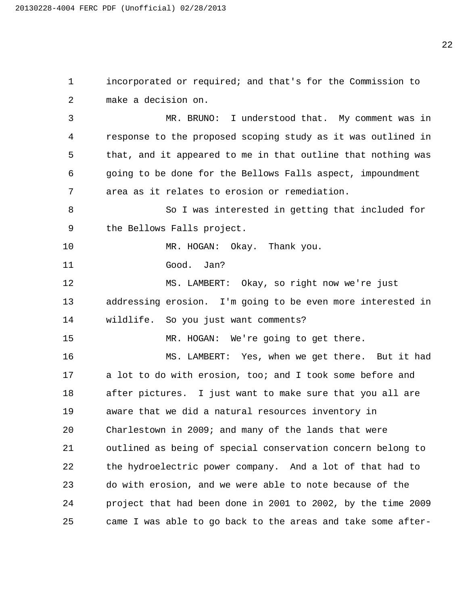incorporated or required; and that's for the Commission to make a decision on. 3 MR. BRUNO: I understood that. My comment was in response to the proposed scoping study as it was outlined in that, and it appeared to me in that outline that nothing was going to be done for the Bellows Falls aspect, impoundment area as it relates to erosion or remediation. 8 So I was interested in getting that included for the Bellows Falls project. 10 MR. HOGAN: Okay. Thank you. 11 Good. Jan? 12 MS. LAMBERT: Okay, so right now we're just addressing erosion. I'm going to be even more interested in wildlife. So you just want comments? 15 MR. HOGAN: We're going to get there. 16 MS. LAMBERT: Yes, when we get there. But it had a lot to do with erosion, too; and I took some before and after pictures. I just want to make sure that you all are aware that we did a natural resources inventory in Charlestown in 2009; and many of the lands that were outlined as being of special conservation concern belong to the hydroelectric power company. And a lot of that had to do with erosion, and we were able to note because of the project that had been done in 2001 to 2002, by the time 2009 came I was able to go back to the areas and take some after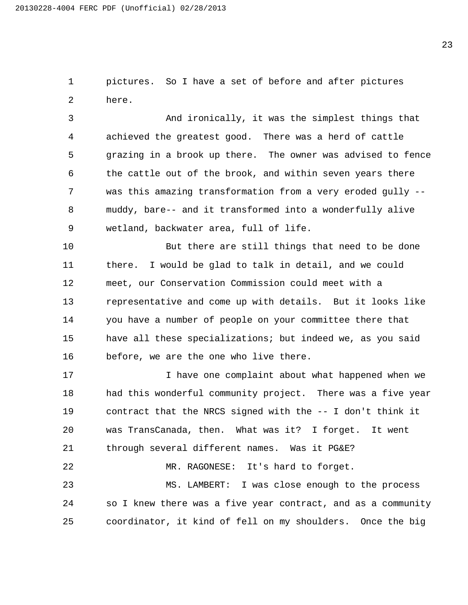pictures. So I have a set of before and after pictures here.

3 And ironically, it was the simplest things that achieved the greatest good. There was a herd of cattle grazing in a brook up there. The owner was advised to fence the cattle out of the brook, and within seven years there was this amazing transformation from a very eroded gully -- muddy, bare-- and it transformed into a wonderfully alive wetland, backwater area, full of life.

10 But there are still things that need to be done there. I would be glad to talk in detail, and we could meet, our Conservation Commission could meet with a representative and come up with details. But it looks like you have a number of people on your committee there that have all these specializations; but indeed we, as you said before, we are the one who live there.

17 I have one complaint about what happened when we had this wonderful community project. There was a five year contract that the NRCS signed with the -- I don't think it was TransCanada, then. What was it? I forget. It went through several different names. Was it PG&E? 22 MR. RAGONESE: It's hard to forget.

23 MS. LAMBERT: I was close enough to the process so I knew there was a five year contract, and as a community coordinator, it kind of fell on my shoulders. Once the big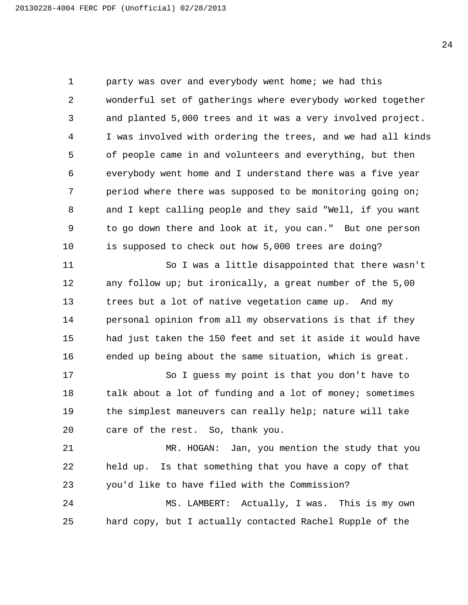party was over and everybody went home; we had this wonderful set of gatherings where everybody worked together and planted 5,000 trees and it was a very involved project. I was involved with ordering the trees, and we had all kinds of people came in and volunteers and everything, but then everybody went home and I understand there was a five year period where there was supposed to be monitoring going on; and I kept calling people and they said "Well, if you want to go down there and look at it, you can." But one person is supposed to check out how 5,000 trees are doing?

11 So I was a little disappointed that there wasn't any follow up; but ironically, a great number of the 5,00 trees but a lot of native vegetation came up. And my personal opinion from all my observations is that if they had just taken the 150 feet and set it aside it would have ended up being about the same situation, which is great.

17 So I guess my point is that you don't have to 18 talk about a lot of funding and a lot of money; sometimes the simplest maneuvers can really help; nature will take care of the rest. So, thank you.

21 MR. HOGAN: Jan, you mention the study that you held up. Is that something that you have a copy of that you'd like to have filed with the Commission? 24 MS. LAMBERT: Actually, I was. This is my own

hard copy, but I actually contacted Rachel Rupple of the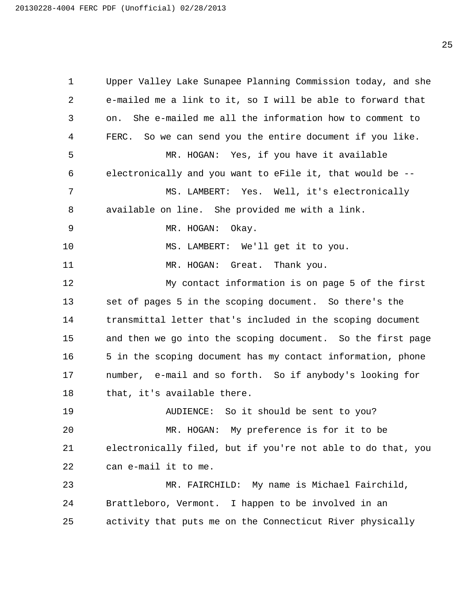Upper Valley Lake Sunapee Planning Commission today, and she e-mailed me a link to it, so I will be able to forward that on. She e-mailed me all the information how to comment to FERC. So we can send you the entire document if you like. 5 MR. HOGAN: Yes, if you have it available electronically and you want to eFile it, that would be -- 7 MS. LAMBERT: Yes. Well, it's electronically available on line. She provided me with a link. 9 MR. HOGAN: Okay. 10 MS. LAMBERT: We'll get it to you. 11 MR. HOGAN: Great. Thank you. 12 My contact information is on page 5 of the first set of pages 5 in the scoping document. So there's the transmittal letter that's included in the scoping document and then we go into the scoping document. So the first page 5 in the scoping document has my contact information, phone number, e-mail and so forth. So if anybody's looking for that, it's available there. 19 AUDIENCE: So it should be sent to you? 20 MR. HOGAN: My preference is for it to be electronically filed, but if you're not able to do that, you can e-mail it to me. 23 MR. FAIRCHILD: My name is Michael Fairchild, Brattleboro, Vermont. I happen to be involved in an activity that puts me on the Connecticut River physically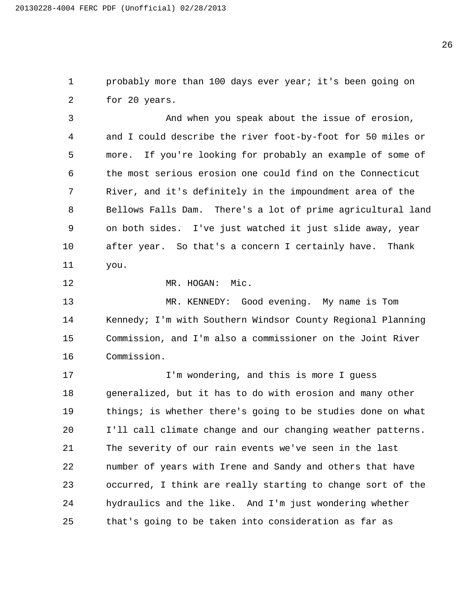probably more than 100 days ever year; it's been going on for 20 years.

3 And when you speak about the issue of erosion, and I could describe the river foot-by-foot for 50 miles or more. If you're looking for probably an example of some of the most serious erosion one could find on the Connecticut River, and it's definitely in the impoundment area of the Bellows Falls Dam. There's a lot of prime agricultural land on both sides. I've just watched it just slide away, year after year. So that's a concern I certainly have. Thank you.

12 MR. HOGAN: Mic.

13 MR. KENNEDY: Good evening. My name is Tom 14 Kennedy; I'm with Southern Windsor County Regional Planning Commission, and I'm also a commissioner on the Joint River Commission.

17 I'm wondering, and this is more I guess generalized, but it has to do with erosion and many other things; is whether there's going to be studies done on what I'll call climate change and our changing weather patterns. The severity of our rain events we've seen in the last number of years with Irene and Sandy and others that have occurred, I think are really starting to change sort of the hydraulics and the like. And I'm just wondering whether that's going to be taken into consideration as far as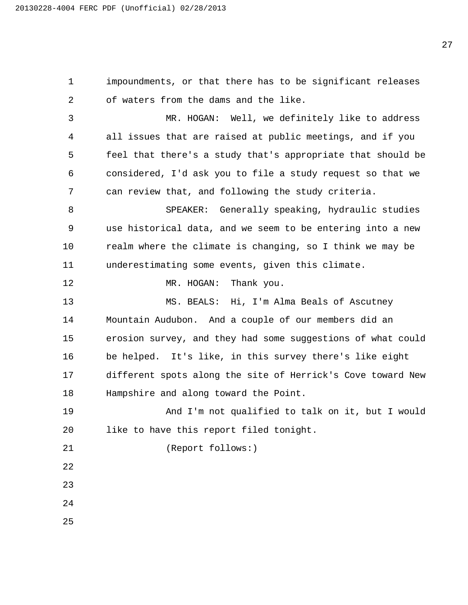impoundments, or that there has to be significant releases of waters from the dams and the like. 3 MR. HOGAN: Well, we definitely like to address all issues that are raised at public meetings, and if you feel that there's a study that's appropriate that should be considered, I'd ask you to file a study request so that we can review that, and following the study criteria. 8 SPEAKER: Generally speaking, hydraulic studies use historical data, and we seem to be entering into a new realm where the climate is changing, so I think we may be underestimating some events, given this climate. 12 MR. HOGAN: Thank you. 13 MS. BEALS: Hi, I'm Alma Beals of Ascutney Mountain Audubon. And a couple of our members did an erosion survey, and they had some suggestions of what could be helped. It's like, in this survey there's like eight different spots along the site of Herrick's Cove toward New Hampshire and along toward the Point. 19 And I'm not qualified to talk on it, but I would like to have this report filed tonight. 21 (Report follows:)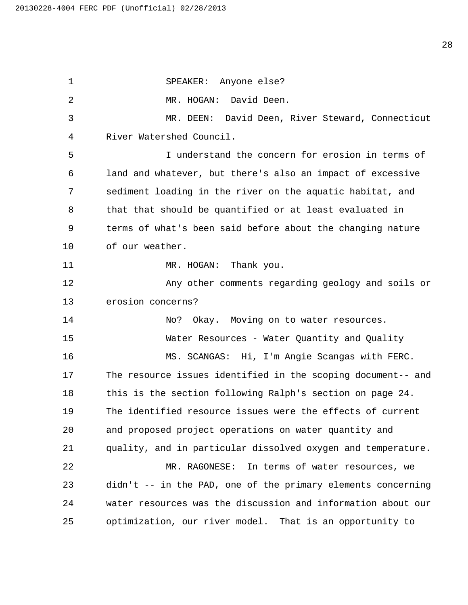1 SPEAKER: Anyone else? 2 MR. HOGAN: David Deen. 3 MR. DEEN: David Deen, River Steward, Connecticut 4 River Watershed Council. 5 I understand the concern for erosion in terms of 6 land and whatever, but there's also an impact of excessive 7 sediment loading in the river on the aquatic habitat, and 8 that that should be quantified or at least evaluated in 9 terms of what's been said before about the changing nature 10 of our weather. 11 MR. HOGAN: Thank you. 12 Any other comments regarding geology and soils or 13 erosion concerns? 14 No? Okay. Moving on to water resources. 15 Water Resources - Water Quantity and Quality 16 MS. SCANGAS: Hi, I'm Angie Scangas with FERC. 17 The resource issues identified in the scoping document-- and 18 this is the section following Ralph's section on page 24. 19 The identified resource issues were the effects of current 20 and proposed project operations on water quantity and 21 quality, and in particular dissolved oxygen and temperature. 22 MR. RAGONESE: In terms of water resources, we 23 didn't -- in the PAD, one of the primary elements concerning 24 water resources was the discussion and information about our 25 optimization, our river model. That is an opportunity to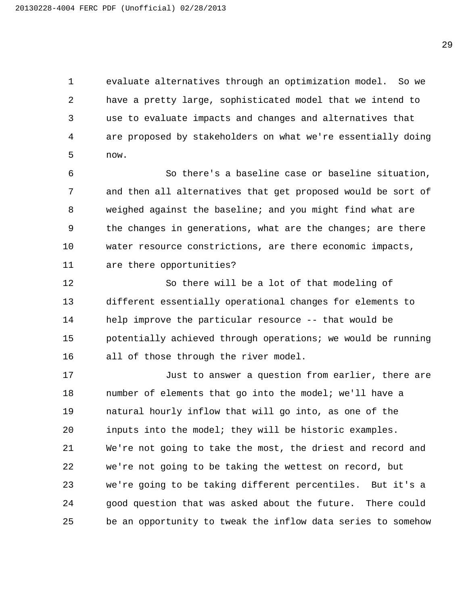evaluate alternatives through an optimization model. So we have a pretty large, sophisticated model that we intend to use to evaluate impacts and changes and alternatives that are proposed by stakeholders on what we're essentially doing now.

6 So there's a baseline case or baseline situation, and then all alternatives that get proposed would be sort of weighed against the baseline; and you might find what are the changes in generations, what are the changes; are there water resource constrictions, are there economic impacts, are there opportunities?

12 So there will be a lot of that modeling of different essentially operational changes for elements to help improve the particular resource -- that would be potentially achieved through operations; we would be running all of those through the river model.

17 Just to answer a question from earlier, there are number of elements that go into the model; we'll have a natural hourly inflow that will go into, as one of the inputs into the model; they will be historic examples. We're not going to take the most, the driest and record and we're not going to be taking the wettest on record, but we're going to be taking different percentiles. But it's a good question that was asked about the future. There could be an opportunity to tweak the inflow data series to somehow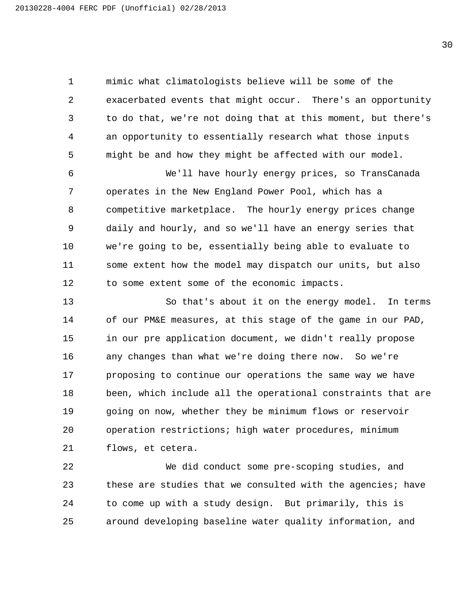mimic what climatologists believe will be some of the exacerbated events that might occur. There's an opportunity to do that, we're not doing that at this moment, but there's an opportunity to essentially research what those inputs might be and how they might be affected with our model.

6 We'll have hourly energy prices, so TransCanada operates in the New England Power Pool, which has a competitive marketplace. The hourly energy prices change daily and hourly, and so we'll have an energy series that we're going to be, essentially being able to evaluate to some extent how the model may dispatch our units, but also to some extent some of the economic impacts.

13 So that's about it on the energy model. In terms of our PM&E measures, at this stage of the game in our PAD, in our pre application document, we didn't really propose any changes than what we're doing there now. So we're 17 proposing to continue our operations the same way we have been, which include all the operational constraints that are going on now, whether they be minimum flows or reservoir operation restrictions; high water procedures, minimum flows, et cetera.

22 We did conduct some pre-scoping studies, and these are studies that we consulted with the agencies; have to come up with a study design. But primarily, this is around developing baseline water quality information, and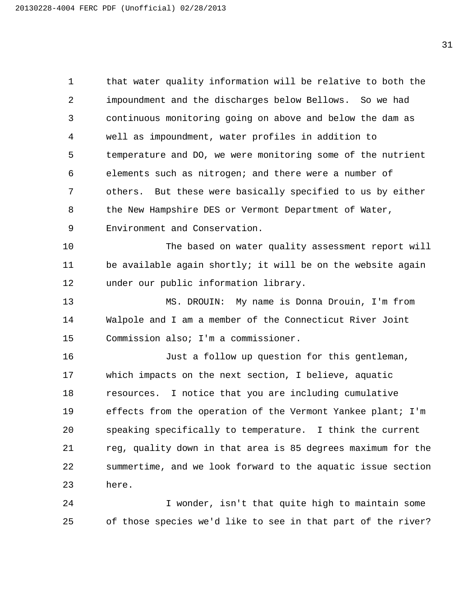that water quality information will be relative to both the impoundment and the discharges below Bellows. So we had continuous monitoring going on above and below the dam as well as impoundment, water profiles in addition to temperature and DO, we were monitoring some of the nutrient elements such as nitrogen; and there were a number of others. But these were basically specified to us by either 8 the New Hampshire DES or Vermont Department of Water, Environment and Conservation.

10 The based on water quality assessment report will 11 be available again shortly; it will be on the website again under our public information library.

13 MS. DROUIN: My name is Donna Drouin, I'm from Walpole and I am a member of the Connecticut River Joint Commission also; I'm a commissioner.

16 Just a follow up question for this gentleman, which impacts on the next section, I believe, aquatic resources. I notice that you are including cumulative effects from the operation of the Vermont Yankee plant; I'm speaking specifically to temperature. I think the current reg, quality down in that area is 85 degrees maximum for the summertime, and we look forward to the aquatic issue section here.

24 I wonder, isn't that quite high to maintain some of those species we'd like to see in that part of the river?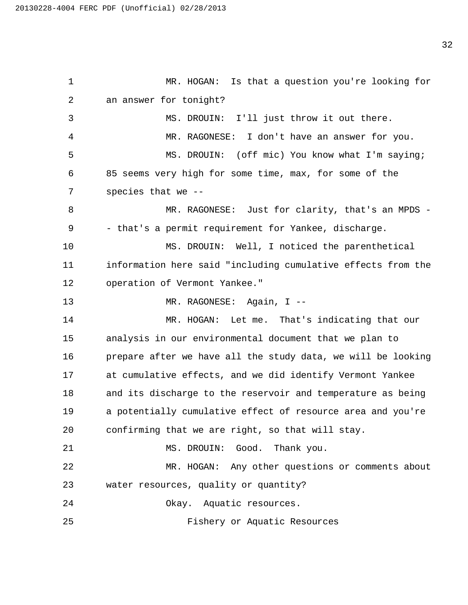1 MR. HOGAN: Is that a question you're looking for 2 an answer for tonight? 3 MS. DROUIN: I'll just throw it out there. 4 MR. RAGONESE: I don't have an answer for you. 5 MS. DROUIN: (off mic) You know what I'm saying; 6 85 seems very high for some time, max, for some of the 7 species that we -- 8 MR. RAGONESE: Just for clarity, that's an MPDS -9 - that's a permit requirement for Yankee, discharge. 10 MS. DROUIN: Well, I noticed the parenthetical 11 information here said "including cumulative effects from the 12 operation of Vermont Yankee." 13 MR. RAGONESE: Again, I --14 MR. HOGAN: Let me. That's indicating that our 15 analysis in our environmental document that we plan to 16 prepare after we have all the study data, we will be looking 17 at cumulative effects, and we did identify Vermont Yankee 18 and its discharge to the reservoir and temperature as being 19 a potentially cumulative effect of resource area and you're 20 confirming that we are right, so that will stay. 21 MS. DROUIN: Good. Thank you. 22 MR. HOGAN: Any other questions or comments about 23 water resources, quality or quantity? 24 Okay. Aquatic resources. 25 Fishery or Aquatic Resources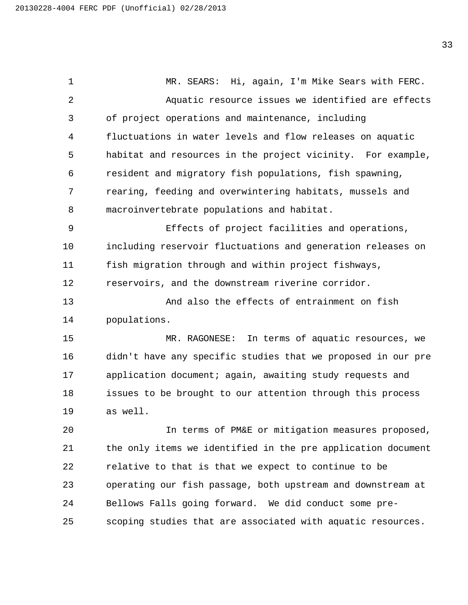1 MR. SEARS: Hi, again, I'm Mike Sears with FERC. 2 Aquatic resource issues we identified are effects of project operations and maintenance, including fluctuations in water levels and flow releases on aquatic habitat and resources in the project vicinity. For example, resident and migratory fish populations, fish spawning, rearing, feeding and overwintering habitats, mussels and macroinvertebrate populations and habitat. 9 Effects of project facilities and operations, including reservoir fluctuations and generation releases on fish migration through and within project fishways, reservoirs, and the downstream riverine corridor. 13 And also the effects of entrainment on fish populations. 15 MR. RAGONESE: In terms of aquatic resources, we didn't have any specific studies that we proposed in our pre application document; again, awaiting study requests and issues to be brought to our attention through this process as well. 20 In terms of PM&E or mitigation measures proposed, the only items we identified in the pre application document relative to that is that we expect to continue to be operating our fish passage, both upstream and downstream at Bellows Falls going forward. We did conduct some pre-scoping studies that are associated with aquatic resources.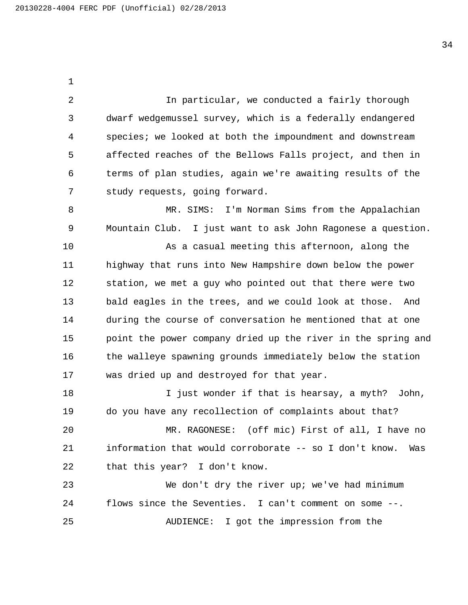2 In particular, we conducted a fairly thorough dwarf wedgemussel survey, which is a federally endangered species; we looked at both the impoundment and downstream affected reaches of the Bellows Falls project, and then in terms of plan studies, again we're awaiting results of the study requests, going forward.

8 MR. SIMS: I'm Norman Sims from the Appalachian Mountain Club. I just want to ask John Ragonese a question.

10 As a casual meeting this afternoon, along the highway that runs into New Hampshire down below the power station, we met a guy who pointed out that there were two bald eagles in the trees, and we could look at those. And during the course of conversation he mentioned that at one point the power company dried up the river in the spring and 16 the walleye spawning grounds immediately below the station was dried up and destroyed for that year.

18 I just wonder if that is hearsay, a myth? John, do you have any recollection of complaints about that?

20 MR. RAGONESE: (off mic) First of all, I have no information that would corroborate -- so I don't know. Was that this year? I don't know.

23 We don't dry the river up; we've had minimum flows since the Seventies. I can't comment on some --. 25 AUDIENCE: I got the impression from the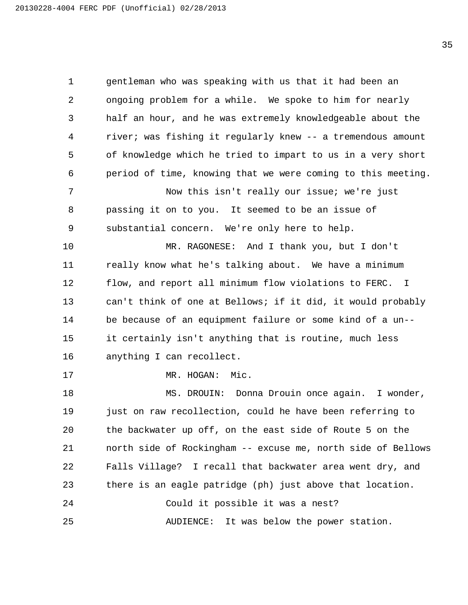gentleman who was speaking with us that it had been an ongoing problem for a while. We spoke to him for nearly half an hour, and he was extremely knowledgeable about the river; was fishing it regularly knew -- a tremendous amount of knowledge which he tried to impart to us in a very short period of time, knowing that we were coming to this meeting. 7 Now this isn't really our issue; we're just passing it on to you. It seemed to be an issue of substantial concern. We're only here to help. 10 MR. RAGONESE: And I thank you, but I don't really know what he's talking about. We have a minimum flow, and report all minimum flow violations to FERC. I can't think of one at Bellows; if it did, it would probably be because of an equipment failure or some kind of a un-- it certainly isn't anything that is routine, much less anything I can recollect. 17 MR. HOGAN: Mic. 18 MS. DROUIN: Donna Drouin once again. I wonder, just on raw recollection, could he have been referring to the backwater up off, on the east side of Route 5 on the north side of Rockingham -- excuse me, north side of Bellows Falls Village? I recall that backwater area went dry, and there is an eagle patridge (ph) just above that location. 24 Could it possible it was a nest? 25 AUDIENCE: It was below the power station.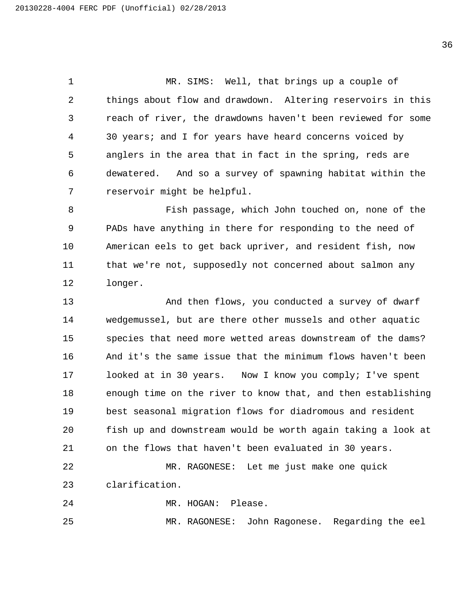1 MR. SIMS: Well, that brings up a couple of things about flow and drawdown. Altering reservoirs in this reach of river, the drawdowns haven't been reviewed for some 30 years; and I for years have heard concerns voiced by anglers in the area that in fact in the spring, reds are dewatered. And so a survey of spawning habitat within the reservoir might be helpful.

8 Fish passage, which John touched on, none of the PADs have anything in there for responding to the need of American eels to get back upriver, and resident fish, now that we're not, supposedly not concerned about salmon any longer.

13 And then flows, you conducted a survey of dwarf wedgemussel, but are there other mussels and other aquatic species that need more wetted areas downstream of the dams? And it's the same issue that the minimum flows haven't been looked at in 30 years. Now I know you comply; I've spent enough time on the river to know that, and then establishing best seasonal migration flows for diadromous and resident fish up and downstream would be worth again taking a look at on the flows that haven't been evaluated in 30 years.

22 MR. RAGONESE: Let me just make one quick clarification.

24 MR. HOGAN: Please.

25 MR. RAGONESE: John Ragonese. Regarding the eel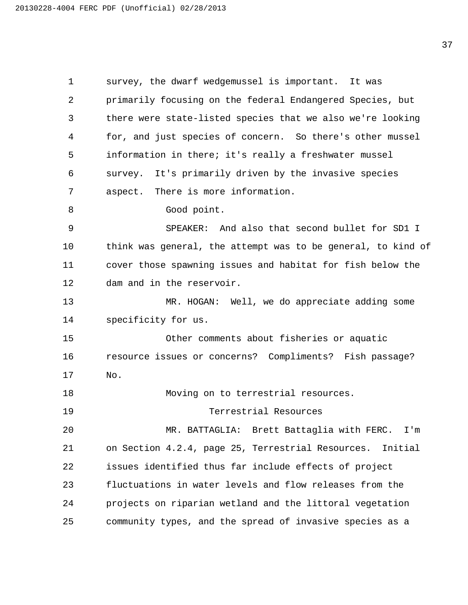survey, the dwarf wedgemussel is important. It was primarily focusing on the federal Endangered Species, but there were state-listed species that we also we're looking for, and just species of concern. So there's other mussel information in there; it's really a freshwater mussel survey. It's primarily driven by the invasive species aspect. There is more information. 8 Good point. 9 SPEAKER: And also that second bullet for SD1 I think was general, the attempt was to be general, to kind of cover those spawning issues and habitat for fish below the dam and in the reservoir. 13 MR. HOGAN: Well, we do appreciate adding some specificity for us. 15 Other comments about fisheries or aquatic resource issues or concerns? Compliments? Fish passage? No. 18 Moving on to terrestrial resources. 19 Terrestrial Resources 20 MR. BATTAGLIA: Brett Battaglia with FERC. I'm on Section 4.2.4, page 25, Terrestrial Resources. Initial issues identified thus far include effects of project fluctuations in water levels and flow releases from the projects on riparian wetland and the littoral vegetation community types, and the spread of invasive species as a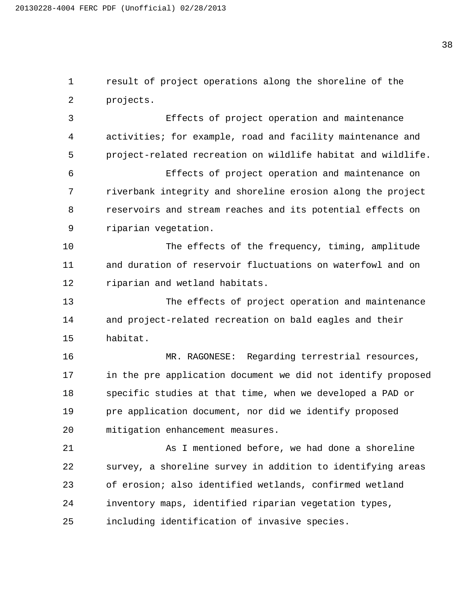result of project operations along the shoreline of the projects.

3 Effects of project operation and maintenance activities; for example, road and facility maintenance and project-related recreation on wildlife habitat and wildlife.

6 Effects of project operation and maintenance on riverbank integrity and shoreline erosion along the project reservoirs and stream reaches and its potential effects on riparian vegetation.

10 The effects of the frequency, timing, amplitude and duration of reservoir fluctuations on waterfowl and on riparian and wetland habitats.

13 The effects of project operation and maintenance and project-related recreation on bald eagles and their habitat.

16 MR. RAGONESE: Regarding terrestrial resources, in the pre application document we did not identify proposed specific studies at that time, when we developed a PAD or pre application document, nor did we identify proposed mitigation enhancement measures.

21 As I mentioned before, we had done a shoreline survey, a shoreline survey in addition to identifying areas of erosion; also identified wetlands, confirmed wetland inventory maps, identified riparian vegetation types, including identification of invasive species.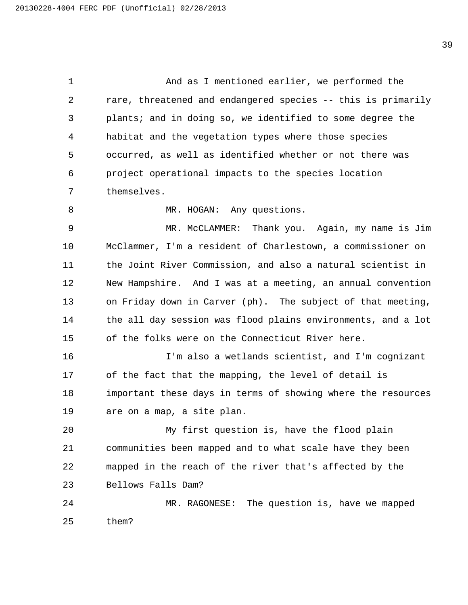1 And as I mentioned earlier, we performed the rare, threatened and endangered species -- this is primarily plants; and in doing so, we identified to some degree the habitat and the vegetation types where those species occurred, as well as identified whether or not there was project operational impacts to the species location themselves.

8 MR. HOGAN: Any questions.

9 MR. McCLAMMER: Thank you. Again, my name is Jim McClammer, I'm a resident of Charlestown, a commissioner on the Joint River Commission, and also a natural scientist in New Hampshire. And I was at a meeting, an annual convention on Friday down in Carver (ph). The subject of that meeting, the all day session was flood plains environments, and a lot of the folks were on the Connecticut River here.

16 I'm also a wetlands scientist, and I'm cognizant of the fact that the mapping, the level of detail is important these days in terms of showing where the resources are on a map, a site plan.

20 My first question is, have the flood plain communities been mapped and to what scale have they been mapped in the reach of the river that's affected by the Bellows Falls Dam?

24 MR. RAGONESE: The question is, have we mapped them?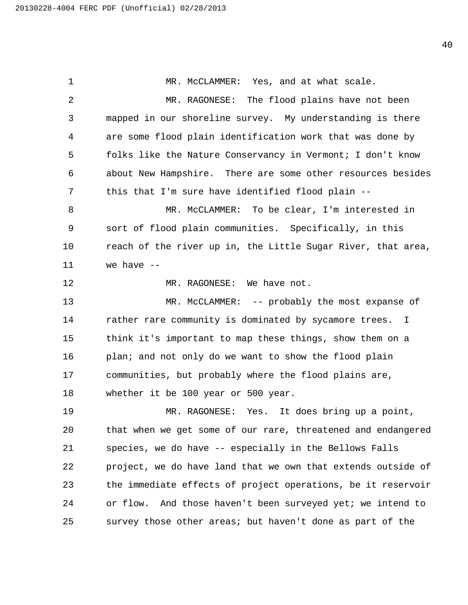1 MR. McCLAMMER: Yes, and at what scale. 2 MR. RAGONESE: The flood plains have not been mapped in our shoreline survey. My understanding is there are some flood plain identification work that was done by folks like the Nature Conservancy in Vermont; I don't know about New Hampshire. There are some other resources besides this that I'm sure have identified flood plain -- 8 MR. McCLAMMER: To be clear, I'm interested in sort of flood plain communities. Specifically, in this reach of the river up in, the Little Sugar River, that area, we have -- 12 MR. RAGONESE: We have not. 13 MR. McCLAMMER: -- probably the most expanse of 14 rather rare community is dominated by sycamore trees. I think it's important to map these things, show them on a plan; and not only do we want to show the flood plain communities, but probably where the flood plains are, whether it be 100 year or 500 year. 19 MR. RAGONESE: Yes. It does bring up a point, that when we get some of our rare, threatened and endangered species, we do have -- especially in the Bellows Falls project, we do have land that we own that extends outside of the immediate effects of project operations, be it reservoir 24 or flow. And those haven't been surveyed yet; we intend to survey those other areas; but haven't done as part of the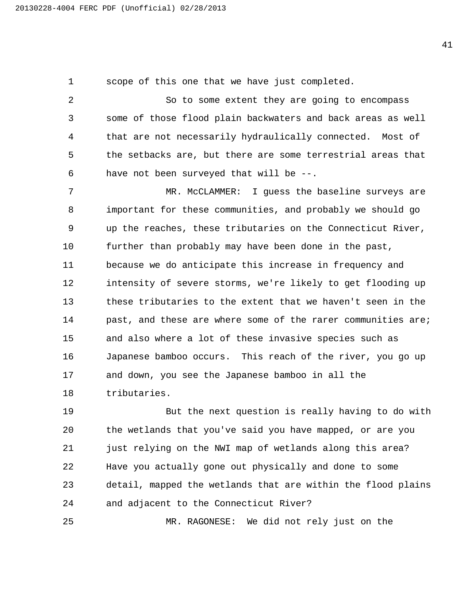scope of this one that we have just completed.

2 So to some extent they are going to encompass some of those flood plain backwaters and back areas as well that are not necessarily hydraulically connected. Most of the setbacks are, but there are some terrestrial areas that have not been surveyed that will be --.

7 MR. McCLAMMER: I guess the baseline surveys are important for these communities, and probably we should go up the reaches, these tributaries on the Connecticut River, 10 further than probably may have been done in the past, because we do anticipate this increase in frequency and intensity of severe storms, we're likely to get flooding up these tributaries to the extent that we haven't seen in the 14 past, and these are where some of the rarer communities are; and also where a lot of these invasive species such as Japanese bamboo occurs. This reach of the river, you go up and down, you see the Japanese bamboo in all the tributaries.

19 But the next question is really having to do with the wetlands that you've said you have mapped, or are you just relying on the NWI map of wetlands along this area? Have you actually gone out physically and done to some detail, mapped the wetlands that are within the flood plains and adjacent to the Connecticut River?

25 MR. RAGONESE: We did not rely just on the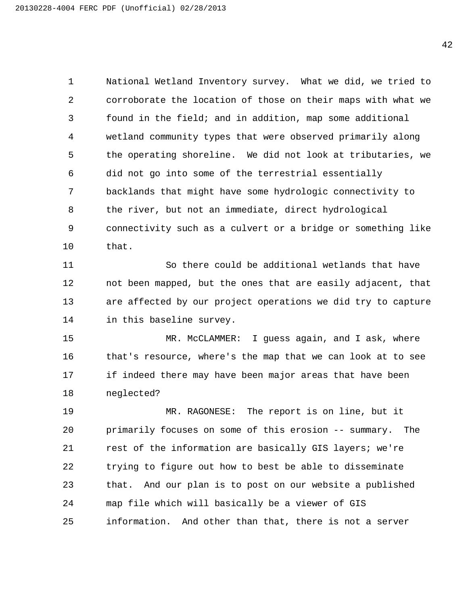National Wetland Inventory survey. What we did, we tried to corroborate the location of those on their maps with what we found in the field; and in addition, map some additional wetland community types that were observed primarily along the operating shoreline. We did not look at tributaries, we did not go into some of the terrestrial essentially backlands that might have some hydrologic connectivity to the river, but not an immediate, direct hydrological connectivity such as a culvert or a bridge or something like that.

11 So there could be additional wetlands that have not been mapped, but the ones that are easily adjacent, that are affected by our project operations we did try to capture in this baseline survey.

15 MR. McCLAMMER: I guess again, and I ask, where that's resource, where's the map that we can look at to see if indeed there may have been major areas that have been neglected?

19 MR. RAGONESE: The report is on line, but it primarily focuses on some of this erosion -- summary. The rest of the information are basically GIS layers; we're trying to figure out how to best be able to disseminate that. And our plan is to post on our website a published map file which will basically be a viewer of GIS information. And other than that, there is not a server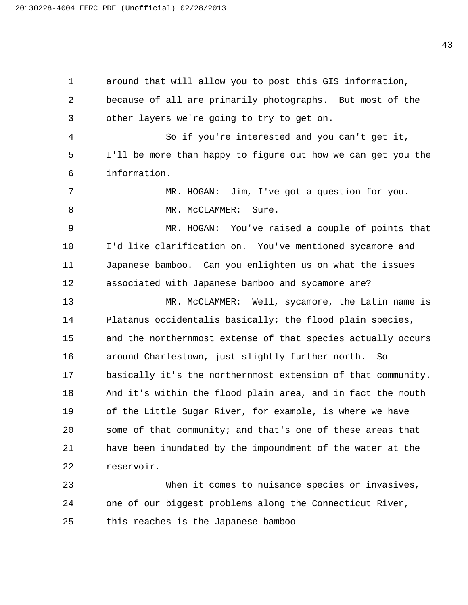around that will allow you to post this GIS information, because of all are primarily photographs. But most of the other layers we're going to try to get on. 4 So if you're interested and you can't get it, I'll be more than happy to figure out how we can get you the information. 7 MR. HOGAN: Jim, I've got a question for you. 8 MR. McCLAMMER: Sure. 9 MR. HOGAN: You've raised a couple of points that I'd like clarification on. You've mentioned sycamore and Japanese bamboo. Can you enlighten us on what the issues associated with Japanese bamboo and sycamore are? 13 MR. McCLAMMER: Well, sycamore, the Latin name is Platanus occidentalis basically; the flood plain species, and the northernmost extense of that species actually occurs around Charlestown, just slightly further north. So basically it's the northernmost extension of that community. And it's within the flood plain area, and in fact the mouth of the Little Sugar River, for example, is where we have some of that community; and that's one of these areas that have been inundated by the impoundment of the water at the reservoir. 23 When it comes to nuisance species or invasives, one of our biggest problems along the Connecticut River, this reaches is the Japanese bamboo --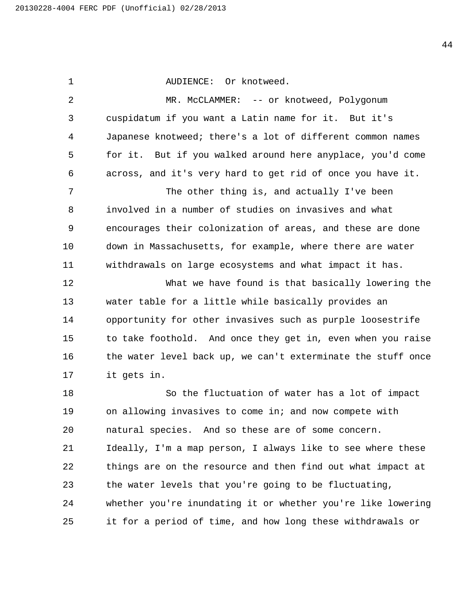1 AUDIENCE: Or knotweed. 2 MR. McCLAMMER: -- or knotweed, Polygonum cuspidatum if you want a Latin name for it. But it's Japanese knotweed; there's a lot of different common names for it. But if you walked around here anyplace, you'd come across, and it's very hard to get rid of once you have it. 7 The other thing is, and actually I've been involved in a number of studies on invasives and what encourages their colonization of areas, and these are done down in Massachusetts, for example, where there are water withdrawals on large ecosystems and what impact it has. 12 What we have found is that basically lowering the water table for a little while basically provides an opportunity for other invasives such as purple loosestrife to take foothold. And once they get in, even when you raise 16 the water level back up, we can't exterminate the stuff once it gets in. 18 So the fluctuation of water has a lot of impact on allowing invasives to come in; and now compete with natural species. And so these are of some concern. Ideally, I'm a map person, I always like to see where these things are on the resource and then find out what impact at the water levels that you're going to be fluctuating, whether you're inundating it or whether you're like lowering it for a period of time, and how long these withdrawals or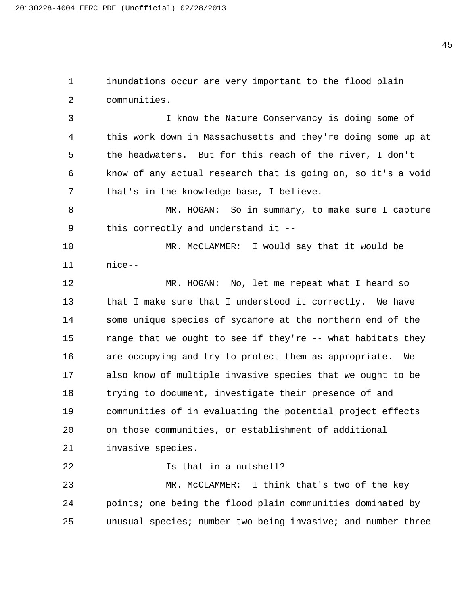inundations occur are very important to the flood plain communities.

3 I know the Nature Conservancy is doing some of this work down in Massachusetts and they're doing some up at the headwaters. But for this reach of the river, I don't know of any actual research that is going on, so it's a void that's in the knowledge base, I believe.

8 MR. HOGAN: So in summary, to make sure I capture this correctly and understand it --

10 MR. McCLAMMER: I would say that it would be nice--

12 MR. HOGAN: No, let me repeat what I heard so that I make sure that I understood it correctly. We have some unique species of sycamore at the northern end of the range that we ought to see if they're -- what habitats they are occupying and try to protect them as appropriate. We also know of multiple invasive species that we ought to be trying to document, investigate their presence of and communities of in evaluating the potential project effects on those communities, or establishment of additional invasive species.

22 Is that in a nutshell?

23 MR. McCLAMMER: I think that's two of the key points; one being the flood plain communities dominated by unusual species; number two being invasive; and number three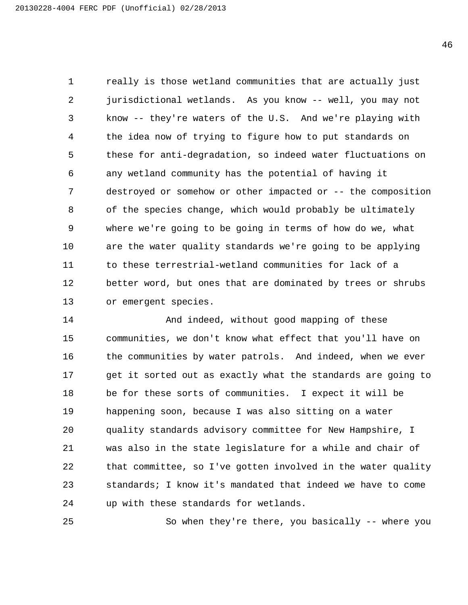really is those wetland communities that are actually just jurisdictional wetlands. As you know -- well, you may not know -- they're waters of the U.S. And we're playing with the idea now of trying to figure how to put standards on these for anti-degradation, so indeed water fluctuations on any wetland community has the potential of having it destroyed or somehow or other impacted or -- the composition of the species change, which would probably be ultimately where we're going to be going in terms of how do we, what are the water quality standards we're going to be applying to these terrestrial-wetland communities for lack of a better word, but ones that are dominated by trees or shrubs or emergent species.

14 And indeed, without good mapping of these communities, we don't know what effect that you'll have on the communities by water patrols. And indeed, when we ever get it sorted out as exactly what the standards are going to be for these sorts of communities. I expect it will be happening soon, because I was also sitting on a water quality standards advisory committee for New Hampshire, I was also in the state legislature for a while and chair of that committee, so I've gotten involved in the water quality standards; I know it's mandated that indeed we have to come up with these standards for wetlands.

25 So when they're there, you basically -- where you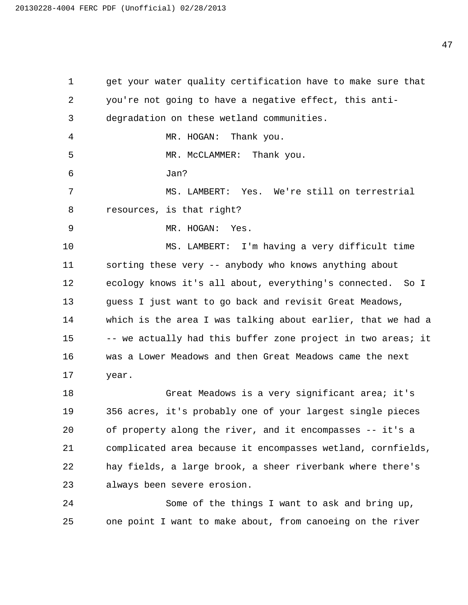get your water quality certification have to make sure that you're not going to have a negative effect, this anti- degradation on these wetland communities. 4 MR. HOGAN: Thank you. 5 MR. McCLAMMER: Thank you. 6 Jan? 7 MS. LAMBERT: Yes. We're still on terrestrial resources, is that right? 9 MR. HOGAN: Yes. 10 MS. LAMBERT: I'm having a very difficult time sorting these very -- anybody who knows anything about ecology knows it's all about, everything's connected. So I guess I just want to go back and revisit Great Meadows, which is the area I was talking about earlier, that we had a 15 -- we actually had this buffer zone project in two areas; it was a Lower Meadows and then Great Meadows came the next year. 18 Great Meadows is a very significant area; it's 356 acres, it's probably one of your largest single pieces of property along the river, and it encompasses -- it's a complicated area because it encompasses wetland, cornfields, hay fields, a large brook, a sheer riverbank where there's

always been severe erosion.

24 Some of the things I want to ask and bring up, one point I want to make about, from canoeing on the river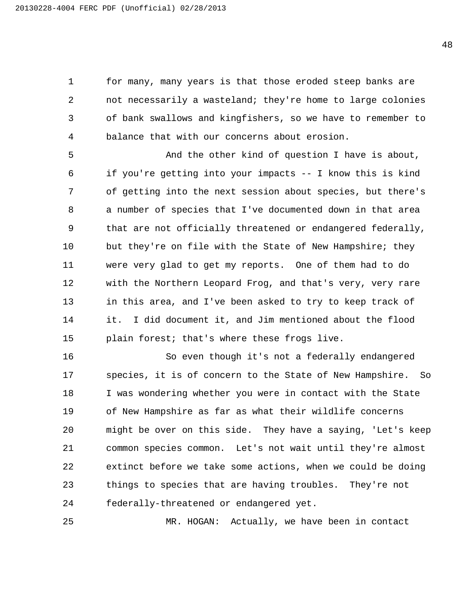for many, many years is that those eroded steep banks are not necessarily a wasteland; they're home to large colonies of bank swallows and kingfishers, so we have to remember to balance that with our concerns about erosion.

5 And the other kind of question I have is about, if you're getting into your impacts -- I know this is kind of getting into the next session about species, but there's a number of species that I've documented down in that area that are not officially threatened or endangered federally, but they're on file with the State of New Hampshire; they were very glad to get my reports. One of them had to do with the Northern Leopard Frog, and that's very, very rare in this area, and I've been asked to try to keep track of it. I did document it, and Jim mentioned about the flood plain forest; that's where these frogs live.

16 So even though it's not a federally endangered species, it is of concern to the State of New Hampshire. So I was wondering whether you were in contact with the State of New Hampshire as far as what their wildlife concerns might be over on this side. They have a saying, 'Let's keep common species common. Let's not wait until they're almost extinct before we take some actions, when we could be doing things to species that are having troubles. They're not federally-threatened or endangered yet.

25 MR. HOGAN: Actually, we have been in contact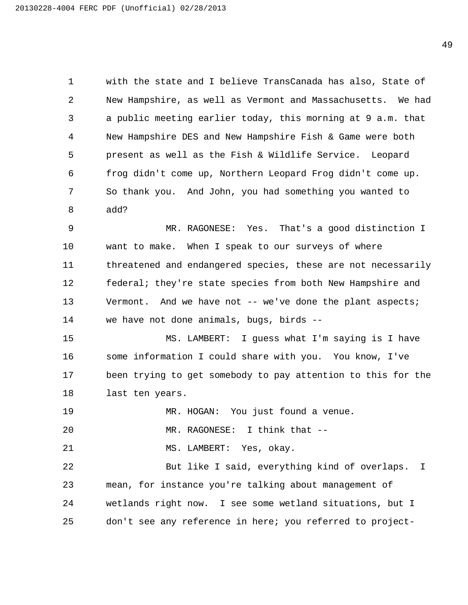with the state and I believe TransCanada has also, State of New Hampshire, as well as Vermont and Massachusetts. We had a public meeting earlier today, this morning at 9 a.m. that New Hampshire DES and New Hampshire Fish & Game were both present as well as the Fish & Wildlife Service. Leopard frog didn't come up, Northern Leopard Frog didn't come up. So thank you. And John, you had something you wanted to add?

9 MR. RAGONESE: Yes. That's a good distinction I want to make. When I speak to our surveys of where threatened and endangered species, these are not necessarily federal; they're state species from both New Hampshire and Vermont. And we have not -- we've done the plant aspects; we have not done animals, bugs, birds --

15 MS. LAMBERT: I guess what I'm saying is I have some information I could share with you. You know, I've been trying to get somebody to pay attention to this for the last ten years.

19 MR. HOGAN: You just found a venue.

20 MR. RAGONESE: I think that --

21 MS. LAMBERT: Yes, okay.

22 But like I said, everything kind of overlaps. I mean, for instance you're talking about management of wetlands right now. I see some wetland situations, but I don't see any reference in here; you referred to project-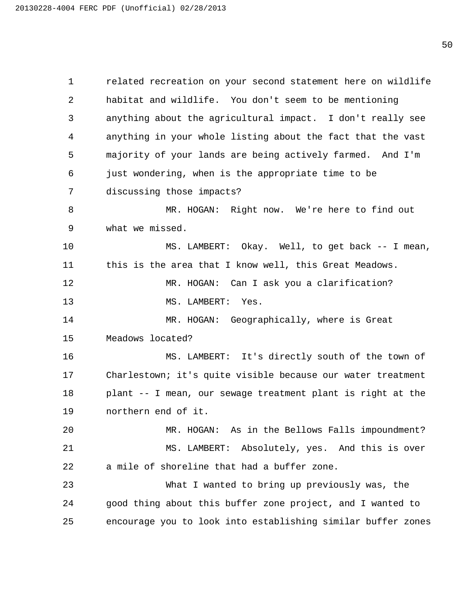related recreation on your second statement here on wildlife habitat and wildlife. You don't seem to be mentioning anything about the agricultural impact. I don't really see anything in your whole listing about the fact that the vast majority of your lands are being actively farmed. And I'm just wondering, when is the appropriate time to be discussing those impacts? 8 MR. HOGAN: Right now. We're here to find out what we missed. 10 MS. LAMBERT: Okay. Well, to get back -- I mean, this is the area that I know well, this Great Meadows. 12 MR. HOGAN: Can I ask you a clarification? 13 MS. LAMBERT: Yes. 14 MR. HOGAN: Geographically, where is Great Meadows located? 16 MS. LAMBERT: It's directly south of the town of Charlestown; it's quite visible because our water treatment plant -- I mean, our sewage treatment plant is right at the northern end of it. 20 MR. HOGAN: As in the Bellows Falls impoundment? 21 MS. LAMBERT: Absolutely, yes. And this is over a mile of shoreline that had a buffer zone. 23 What I wanted to bring up previously was, the good thing about this buffer zone project, and I wanted to encourage you to look into establishing similar buffer zones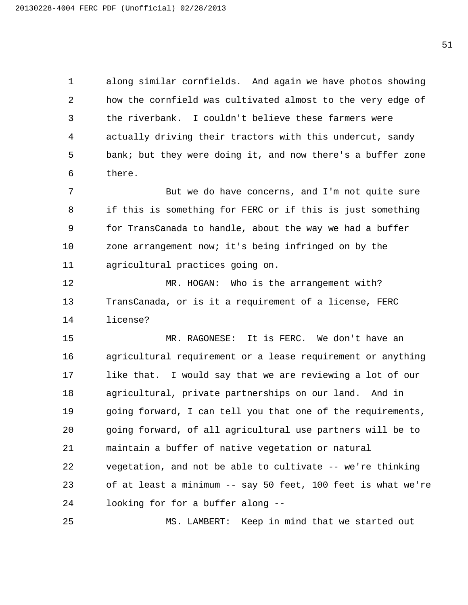along similar cornfields. And again we have photos showing how the cornfield was cultivated almost to the very edge of the riverbank. I couldn't believe these farmers were actually driving their tractors with this undercut, sandy bank; but they were doing it, and now there's a buffer zone there.

7 The Sulf we do have concerns, and I'm not quite sure if this is something for FERC or if this is just something for TransCanada to handle, about the way we had a buffer zone arrangement now; it's being infringed on by the agricultural practices going on.

12 MR. HOGAN: Who is the arrangement with? TransCanada, or is it a requirement of a license, FERC license?

15 MR. RAGONESE: It is FERC. We don't have an agricultural requirement or a lease requirement or anything like that. I would say that we are reviewing a lot of our agricultural, private partnerships on our land. And in going forward, I can tell you that one of the requirements, going forward, of all agricultural use partners will be to maintain a buffer of native vegetation or natural vegetation, and not be able to cultivate -- we're thinking of at least a minimum -- say 50 feet, 100 feet is what we're looking for for a buffer along --

25 MS. LAMBERT: Keep in mind that we started out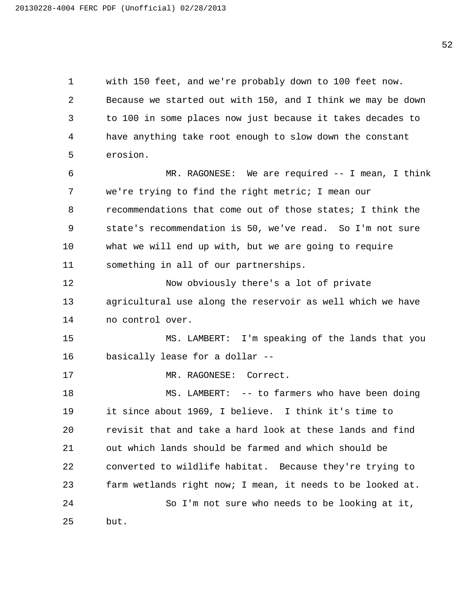with 150 feet, and we're probably down to 100 feet now. Because we started out with 150, and I think we may be down to 100 in some places now just because it takes decades to have anything take root enough to slow down the constant erosion. 6 MR. RAGONESE: We are required -- I mean, I think we're trying to find the right metric; I mean our recommendations that come out of those states; I think the state's recommendation is 50, we've read. So I'm not sure what we will end up with, but we are going to require something in all of our partnerships. 12 Now obviously there's a lot of private agricultural use along the reservoir as well which we have no control over. 15 MS. LAMBERT: I'm speaking of the lands that you basically lease for a dollar -- 17 MR. RAGONESE: Correct. 18 MS. LAMBERT: -- to farmers who have been doing it since about 1969, I believe. I think it's time to revisit that and take a hard look at these lands and find out which lands should be farmed and which should be converted to wildlife habitat. Because they're trying to farm wetlands right now; I mean, it needs to be looked at. 24 So I'm not sure who needs to be looking at it, but.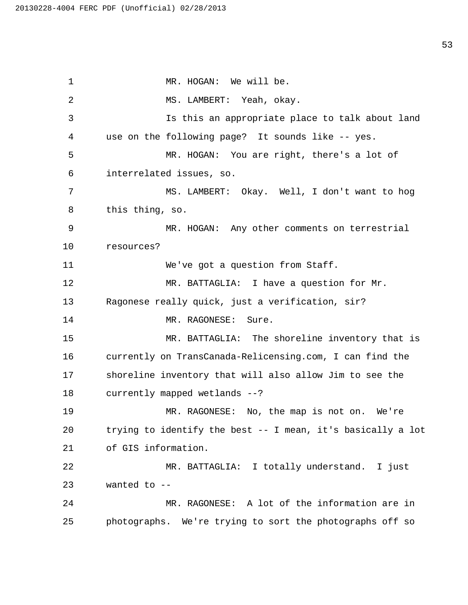1 MR. HOGAN: We will be. 2 MS. LAMBERT: Yeah, okay. 3 Is this an appropriate place to talk about land 4 use on the following page? It sounds like -- yes. 5 MR. HOGAN: You are right, there's a lot of 6 interrelated issues, so. 7 MS. LAMBERT: Okay. Well, I don't want to hog 8 this thing, so. 9 MR. HOGAN: Any other comments on terrestrial 10 resources? 11 We've got a question from Staff. 12 MR. BATTAGLIA: I have a question for Mr. 13 Ragonese really quick, just a verification, sir? 14 MR. RAGONESE: Sure. 15 MR. BATTAGLIA: The shoreline inventory that is 16 currently on TransCanada-Relicensing.com, I can find the 17 shoreline inventory that will also allow Jim to see the 18 currently mapped wetlands --? 19 MR. RAGONESE: No, the map is not on. We're 20 trying to identify the best -- I mean, it's basically a lot 21 of GIS information. 22 MR. BATTAGLIA: I totally understand. I just 23 wanted to -- 24 MR. RAGONESE: A lot of the information are in 25 photographs. We're trying to sort the photographs off so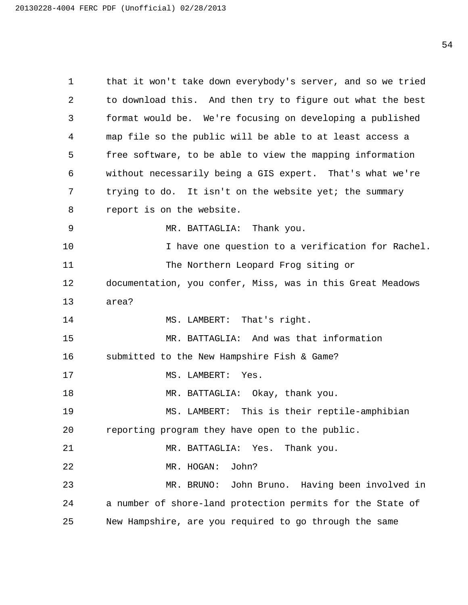1 that it won't take down everybody's server, and so we tried 2 to download this. And then try to figure out what the best 3 format would be. We're focusing on developing a published 4 map file so the public will be able to at least access a 5 free software, to be able to view the mapping information 6 without necessarily being a GIS expert. That's what we're 7 trying to do. It isn't on the website yet; the summary 8 report is on the website. 9 MR. BATTAGLIA: Thank you. 10 I have one question to a verification for Rachel. 11 The Northern Leopard Frog siting or 12 documentation, you confer, Miss, was in this Great Meadows 13 area? 14 MS. LAMBERT: That's right. 15 MR. BATTAGLIA: And was that information 16 submitted to the New Hampshire Fish & Game? 17 MS. LAMBERT: Yes. 18 MR. BATTAGLIA: Okay, thank you. 19 MS. LAMBERT: This is their reptile-amphibian 20 reporting program they have open to the public. 21 MR. BATTAGLIA: Yes. Thank you. 22 MR. HOGAN: John? 23 MR. BRUNO: John Bruno. Having been involved in 24 a number of shore-land protection permits for the State of 25 New Hampshire, are you required to go through the same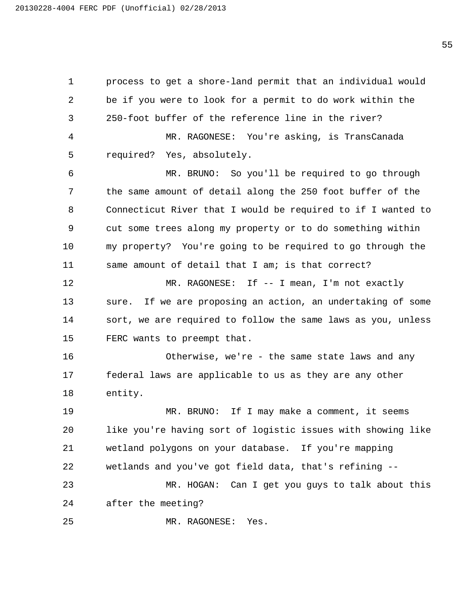process to get a shore-land permit that an individual would be if you were to look for a permit to do work within the 250-foot buffer of the reference line in the river? 4 MR. RAGONESE: You're asking, is TransCanada required? Yes, absolutely. 6 MR. BRUNO: So you'll be required to go through the same amount of detail along the 250 foot buffer of the Connecticut River that I would be required to if I wanted to cut some trees along my property or to do something within my property? You're going to be required to go through the same amount of detail that I am; is that correct? 12 MR. RAGONESE: If -- I mean, I'm not exactly sure. If we are proposing an action, an undertaking of some sort, we are required to follow the same laws as you, unless FERC wants to preempt that. 16 Otherwise, we're - the same state laws and any federal laws are applicable to us as they are any other entity. 19 MR. BRUNO: If I may make a comment, it seems like you're having sort of logistic issues with showing like wetland polygons on your database. If you're mapping wetlands and you've got field data, that's refining -- 23 MR. HOGAN: Can I get you guys to talk about this after the meeting? 25 MR. RAGONESE: Yes.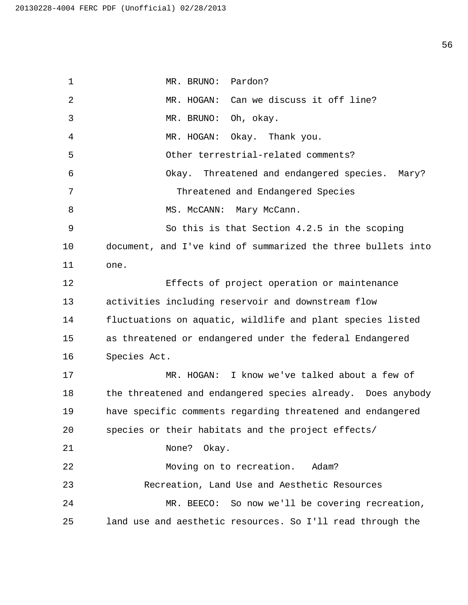1 MR. BRUNO: Pardon? 2 MR. HOGAN: Can we discuss it off line? 3 MR. BRUNO: Oh, okay. 4 MR. HOGAN: Okay. Thank you. 5 Other terrestrial-related comments? 6 Okay. Threatened and endangered species. Mary? 7 Threatened and Endangered Species 8 MS. McCANN: Mary McCann. 9 So this is that Section 4.2.5 in the scoping 10 document, and I've kind of summarized the three bullets into 11 one. 12 Effects of project operation or maintenance 13 activities including reservoir and downstream flow 14 fluctuations on aquatic, wildlife and plant species listed 15 as threatened or endangered under the federal Endangered 16 Species Act. 17 MR. HOGAN: I know we've talked about a few of 18 the threatened and endangered species already. Does anybody 19 have specific comments regarding threatened and endangered 20 species or their habitats and the project effects/ 21 None? Okay. 22 Moving on to recreation. Adam? 23 Recreation, Land Use and Aesthetic Resources 24 MR. BEECO: So now we'll be covering recreation, 25 land use and aesthetic resources. So I'll read through the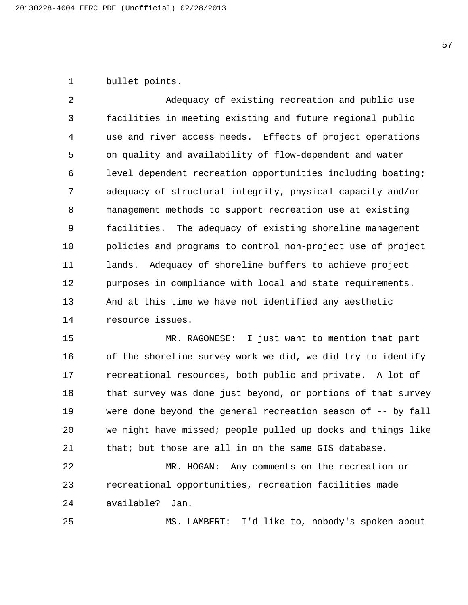bullet points.

2 Adequacy of existing recreation and public use facilities in meeting existing and future regional public use and river access needs. Effects of project operations on quality and availability of flow-dependent and water level dependent recreation opportunities including boating; adequacy of structural integrity, physical capacity and/or management methods to support recreation use at existing facilities. The adequacy of existing shoreline management policies and programs to control non-project use of project lands. Adequacy of shoreline buffers to achieve project purposes in compliance with local and state requirements. And at this time we have not identified any aesthetic resource issues.

15 MR. RAGONESE: I just want to mention that part 16 of the shoreline survey work we did, we did try to identify recreational resources, both public and private. A lot of 18 that survey was done just beyond, or portions of that survey were done beyond the general recreation season of -- by fall we might have missed; people pulled up docks and things like that; but those are all in on the same GIS database.

22 MR. HOGAN: Any comments on the recreation or recreational opportunities, recreation facilities made available? Jan.

25 MS. LAMBERT: I'd like to, nobody's spoken about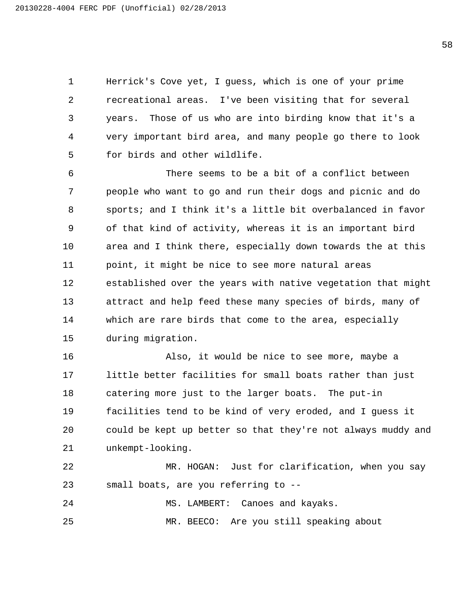Herrick's Cove yet, I guess, which is one of your prime recreational areas. I've been visiting that for several years. Those of us who are into birding know that it's a very important bird area, and many people go there to look for birds and other wildlife.

6 There seems to be a bit of a conflict between people who want to go and run their dogs and picnic and do sports; and I think it's a little bit overbalanced in favor of that kind of activity, whereas it is an important bird area and I think there, especially down towards the at this point, it might be nice to see more natural areas established over the years with native vegetation that might attract and help feed these many species of birds, many of which are rare birds that come to the area, especially during migration.

16 Also, it would be nice to see more, maybe a little better facilities for small boats rather than just catering more just to the larger boats. The put-in facilities tend to be kind of very eroded, and I guess it could be kept up better so that they're not always muddy and unkempt-looking.

22 MR. HOGAN: Just for clarification, when you say small boats, are you referring to --

24 MS. LAMBERT: Canoes and kayaks.

25 MR. BEECO: Are you still speaking about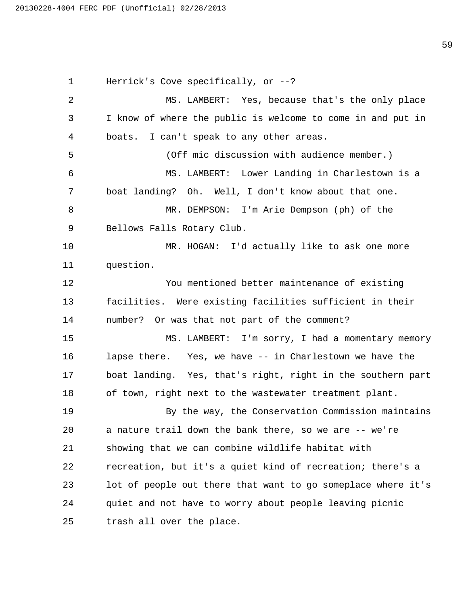Herrick's Cove specifically, or --? 2 MS. LAMBERT: Yes, because that's the only place I know of where the public is welcome to come in and put in boats. I can't speak to any other areas. 5 (Off mic discussion with audience member.) 6 MS. LAMBERT: Lower Landing in Charlestown is a boat landing? Oh. Well, I don't know about that one. 8 MR. DEMPSON: I'm Arie Dempson (ph) of the Bellows Falls Rotary Club. 10 MR. HOGAN: I'd actually like to ask one more question. 12 You mentioned better maintenance of existing facilities. Were existing facilities sufficient in their number? Or was that not part of the comment? 15 MS. LAMBERT: I'm sorry, I had a momentary memory lapse there. Yes, we have -- in Charlestown we have the boat landing. Yes, that's right, right in the southern part of town, right next to the wastewater treatment plant. 19 By the way, the Conservation Commission maintains a nature trail down the bank there, so we are -- we're showing that we can combine wildlife habitat with recreation, but it's a quiet kind of recreation; there's a lot of people out there that want to go someplace where it's quiet and not have to worry about people leaving picnic trash all over the place.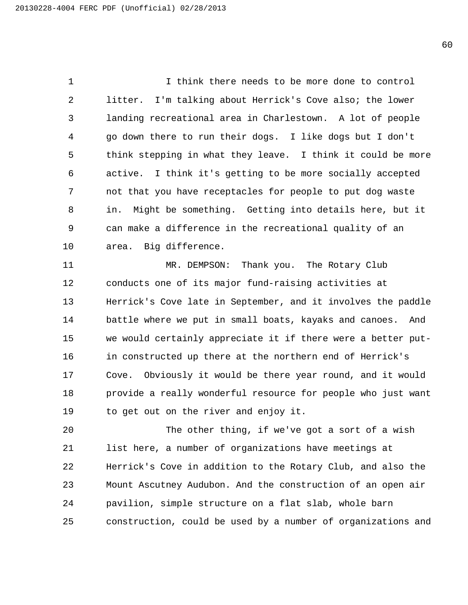1 I think there needs to be more done to control litter. I'm talking about Herrick's Cove also; the lower landing recreational area in Charlestown. A lot of people go down there to run their dogs. I like dogs but I don't think stepping in what they leave. I think it could be more active. I think it's getting to be more socially accepted not that you have receptacles for people to put dog waste in. Might be something. Getting into details here, but it can make a difference in the recreational quality of an area. Big difference.

11 MR. DEMPSON: Thank you. The Rotary Club conducts one of its major fund-raising activities at Herrick's Cove late in September, and it involves the paddle battle where we put in small boats, kayaks and canoes. And we would certainly appreciate it if there were a better put- in constructed up there at the northern end of Herrick's Cove. Obviously it would be there year round, and it would provide a really wonderful resource for people who just want to get out on the river and enjoy it.

20 The other thing, if we've got a sort of a wish list here, a number of organizations have meetings at Herrick's Cove in addition to the Rotary Club, and also the Mount Ascutney Audubon. And the construction of an open air pavilion, simple structure on a flat slab, whole barn construction, could be used by a number of organizations and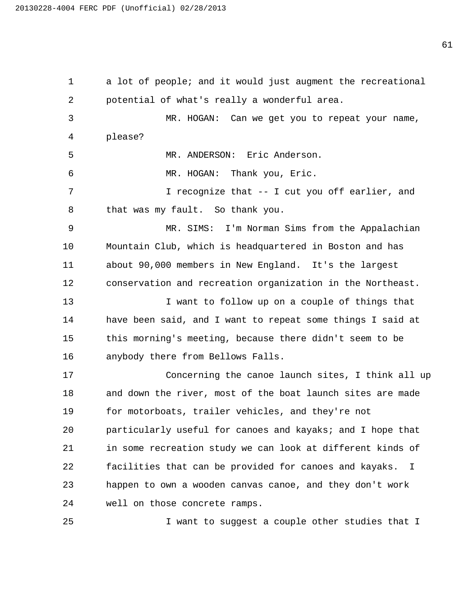a lot of people; and it would just augment the recreational potential of what's really a wonderful area. 3 MR. HOGAN: Can we get you to repeat your name, please? 5 MR. ANDERSON: Eric Anderson. 6 MR. HOGAN: Thank you, Eric. 7 I recognize that -- I cut you off earlier, and that was my fault. So thank you. 9 MR. SIMS: I'm Norman Sims from the Appalachian Mountain Club, which is headquartered in Boston and has about 90,000 members in New England. It's the largest conservation and recreation organization in the Northeast. 13 I want to follow up on a couple of things that have been said, and I want to repeat some things I said at this morning's meeting, because there didn't seem to be anybody there from Bellows Falls. 17 Concerning the canoe launch sites, I think all up and down the river, most of the boat launch sites are made for motorboats, trailer vehicles, and they're not particularly useful for canoes and kayaks; and I hope that in some recreation study we can look at different kinds of facilities that can be provided for canoes and kayaks. I happen to own a wooden canvas canoe, and they don't work well on those concrete ramps. 25 I want to suggest a couple other studies that I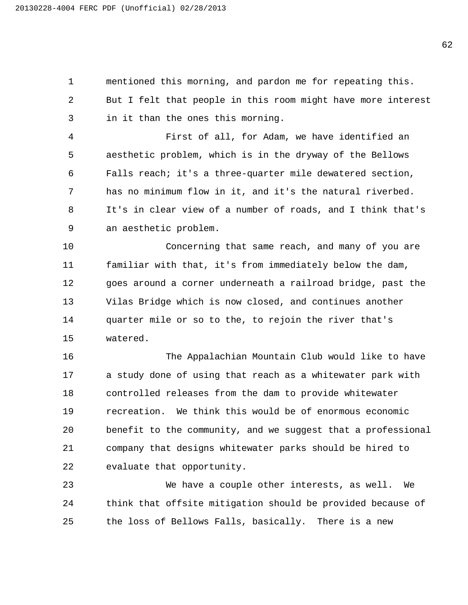mentioned this morning, and pardon me for repeating this. But I felt that people in this room might have more interest in it than the ones this morning.

4 First of all, for Adam, we have identified an aesthetic problem, which is in the dryway of the Bellows Falls reach; it's a three-quarter mile dewatered section, has no minimum flow in it, and it's the natural riverbed. It's in clear view of a number of roads, and I think that's an aesthetic problem.

10 Concerning that same reach, and many of you are familiar with that, it's from immediately below the dam, goes around a corner underneath a railroad bridge, past the Vilas Bridge which is now closed, and continues another quarter mile or so to the, to rejoin the river that's watered.

16 The Appalachian Mountain Club would like to have a study done of using that reach as a whitewater park with controlled releases from the dam to provide whitewater recreation. We think this would be of enormous economic benefit to the community, and we suggest that a professional company that designs whitewater parks should be hired to evaluate that opportunity.

23 We have a couple other interests, as well. We think that offsite mitigation should be provided because of the loss of Bellows Falls, basically. There is a new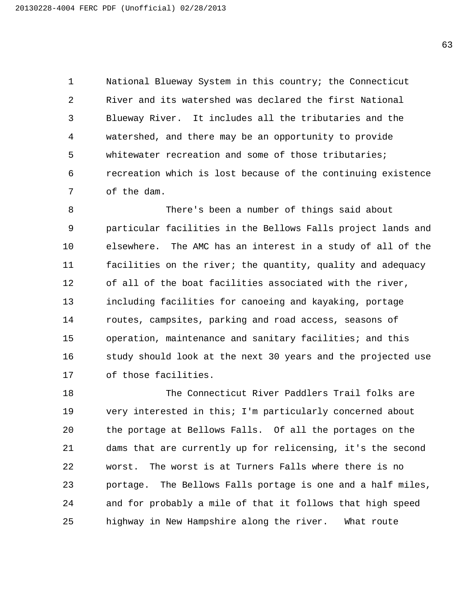National Blueway System in this country; the Connecticut River and its watershed was declared the first National Blueway River. It includes all the tributaries and the watershed, and there may be an opportunity to provide whitewater recreation and some of those tributaries; recreation which is lost because of the continuing existence of the dam.

8 There's been a number of things said about particular facilities in the Bellows Falls project lands and elsewhere. The AMC has an interest in a study of all of the facilities on the river; the quantity, quality and adequacy of all of the boat facilities associated with the river, including facilities for canoeing and kayaking, portage routes, campsites, parking and road access, seasons of operation, maintenance and sanitary facilities; and this 16 study should look at the next 30 years and the projected use of those facilities.

18 The Connecticut River Paddlers Trail folks are very interested in this; I'm particularly concerned about the portage at Bellows Falls. Of all the portages on the dams that are currently up for relicensing, it's the second worst. The worst is at Turners Falls where there is no portage. The Bellows Falls portage is one and a half miles, and for probably a mile of that it follows that high speed highway in New Hampshire along the river. What route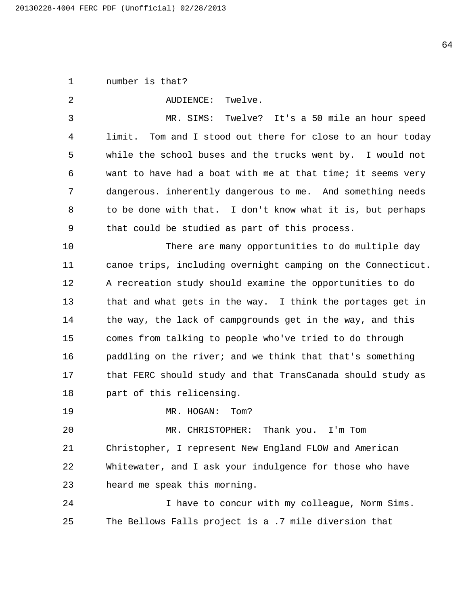number is that?

| 2  | Twelve.<br>AUDIENCE:                                         |
|----|--------------------------------------------------------------|
| 3  | Twelve? It's a 50 mile an hour speed<br>MR. SIMS:            |
| 4  | limit. Tom and I stood out there for close to an hour today  |
| 5  | while the school buses and the trucks went by. I would not   |
| 6  | want to have had a boat with me at that time; it seems very  |
| 7  | dangerous. inherently dangerous to me. And something needs   |
| 8  | to be done with that. I don't know what it is, but perhaps   |
| 9  | that could be studied as part of this process.               |
| 10 | There are many opportunities to do multiple day              |
| 11 | canoe trips, including overnight camping on the Connecticut. |
| 12 | A recreation study should examine the opportunities to do    |
| 13 | that and what gets in the way. I think the portages get in   |
| 14 | the way, the lack of campgrounds get in the way, and this    |
| 15 | comes from talking to people who've tried to do through      |
| 16 | paddling on the river; and we think that that's something    |
| 17 | that FERC should study and that TransCanada should study as  |
| 18 | part of this relicensing.                                    |
| 19 | MR. HOGAN:<br>Tom?                                           |
| 20 | Thank you. I'm Tom<br>MR. CHRISTOPHER:                       |
| 21 | Christopher, I represent New England FLOW and American       |
| 22 | Whitewater, and I ask your indulgence for those who have     |
| 23 | heard me speak this morning.                                 |
| 24 | I have to concur with my colleague, Norm Sims.               |
| 25 | The Bellows Falls project is a .7 mile diversion that        |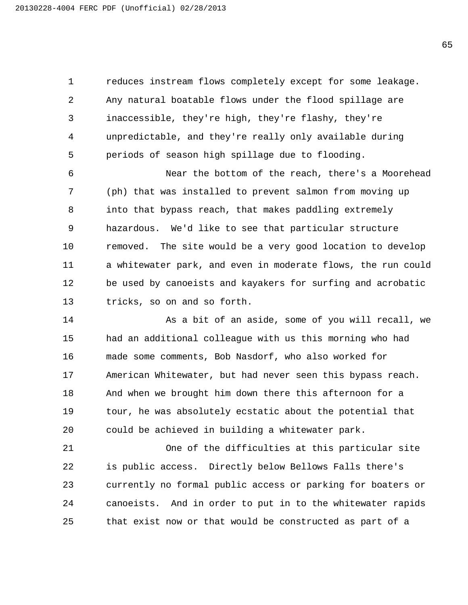reduces instream flows completely except for some leakage. Any natural boatable flows under the flood spillage are inaccessible, they're high, they're flashy, they're unpredictable, and they're really only available during periods of season high spillage due to flooding.

6 Near the bottom of the reach, there's a Moorehead (ph) that was installed to prevent salmon from moving up into that bypass reach, that makes paddling extremely hazardous. We'd like to see that particular structure removed. The site would be a very good location to develop a whitewater park, and even in moderate flows, the run could be used by canoeists and kayakers for surfing and acrobatic tricks, so on and so forth.

14 As a bit of an aside, some of you will recall, we had an additional colleague with us this morning who had made some comments, Bob Nasdorf, who also worked for American Whitewater, but had never seen this bypass reach. And when we brought him down there this afternoon for a tour, he was absolutely ecstatic about the potential that could be achieved in building a whitewater park.

21 One of the difficulties at this particular site is public access. Directly below Bellows Falls there's currently no formal public access or parking for boaters or canoeists. And in order to put in to the whitewater rapids that exist now or that would be constructed as part of a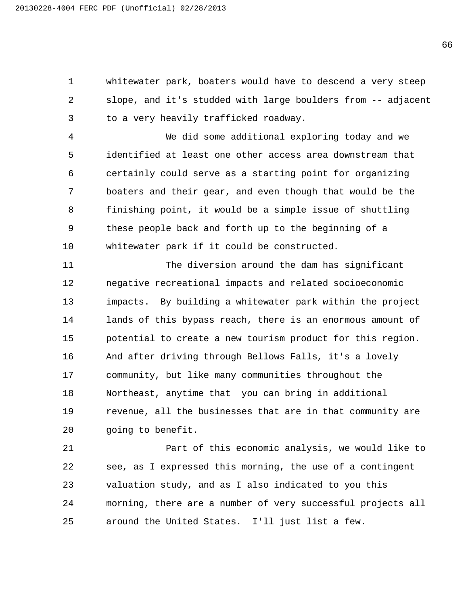whitewater park, boaters would have to descend a very steep slope, and it's studded with large boulders from -- adjacent to a very heavily trafficked roadway.

4 We did some additional exploring today and we identified at least one other access area downstream that certainly could serve as a starting point for organizing boaters and their gear, and even though that would be the finishing point, it would be a simple issue of shuttling these people back and forth up to the beginning of a whitewater park if it could be constructed.

11 The diversion around the dam has significant negative recreational impacts and related socioeconomic impacts. By building a whitewater park within the project lands of this bypass reach, there is an enormous amount of potential to create a new tourism product for this region. And after driving through Bellows Falls, it's a lovely community, but like many communities throughout the Northeast, anytime that you can bring in additional revenue, all the businesses that are in that community are going to benefit.

21 Part of this economic analysis, we would like to see, as I expressed this morning, the use of a contingent valuation study, and as I also indicated to you this morning, there are a number of very successful projects all around the United States. I'll just list a few.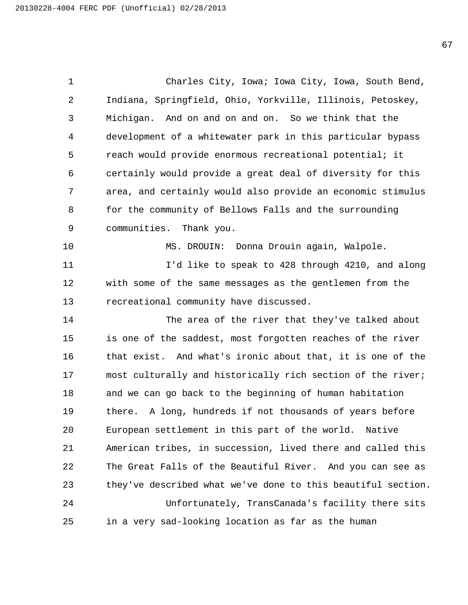1 Charles City, Iowa; Iowa City, Iowa, South Bend, Indiana, Springfield, Ohio, Yorkville, Illinois, Petoskey, Michigan. And on and on and on. So we think that the development of a whitewater park in this particular bypass reach would provide enormous recreational potential; it certainly would provide a great deal of diversity for this area, and certainly would also provide an economic stimulus for the community of Bellows Falls and the surrounding communities. Thank you. 10 MS. DROUIN: Donna Drouin again, Walpole. 11 I'd like to speak to 428 through 4210, and along with some of the same messages as the gentlemen from the recreational community have discussed. 14 The area of the river that they've talked about is one of the saddest, most forgotten reaches of the river that exist. And what's ironic about that, it is one of the most culturally and historically rich section of the river; and we can go back to the beginning of human habitation there. A long, hundreds if not thousands of years before European settlement in this part of the world. Native American tribes, in succession, lived there and called this The Great Falls of the Beautiful River. And you can see as they've described what we've done to this beautiful section. 24 Unfortunately, TransCanada's facility there sits in a very sad-looking location as far as the human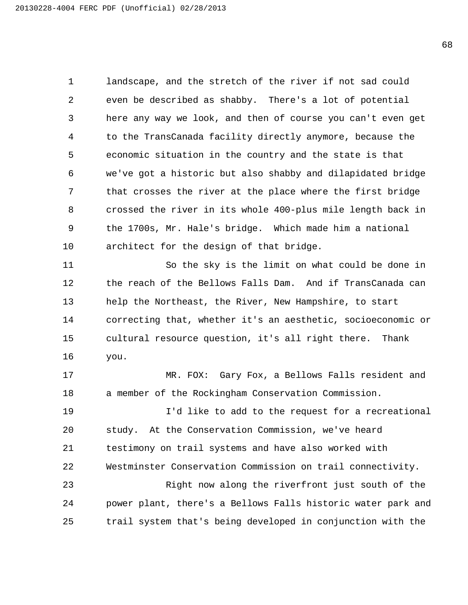landscape, and the stretch of the river if not sad could even be described as shabby. There's a lot of potential here any way we look, and then of course you can't even get to the TransCanada facility directly anymore, because the economic situation in the country and the state is that we've got a historic but also shabby and dilapidated bridge that crosses the river at the place where the first bridge crossed the river in its whole 400-plus mile length back in the 1700s, Mr. Hale's bridge. Which made him a national architect for the design of that bridge.

11 So the sky is the limit on what could be done in the reach of the Bellows Falls Dam. And if TransCanada can help the Northeast, the River, New Hampshire, to start correcting that, whether it's an aesthetic, socioeconomic or cultural resource question, it's all right there. Thank you.

17 MR. FOX: Gary Fox, a Bellows Falls resident and a member of the Rockingham Conservation Commission.

19 I'd like to add to the request for a recreational study. At the Conservation Commission, we've heard testimony on trail systems and have also worked with Westminster Conservation Commission on trail connectivity. 23 Right now along the riverfront just south of the power plant, there's a Bellows Falls historic water park and trail system that's being developed in conjunction with the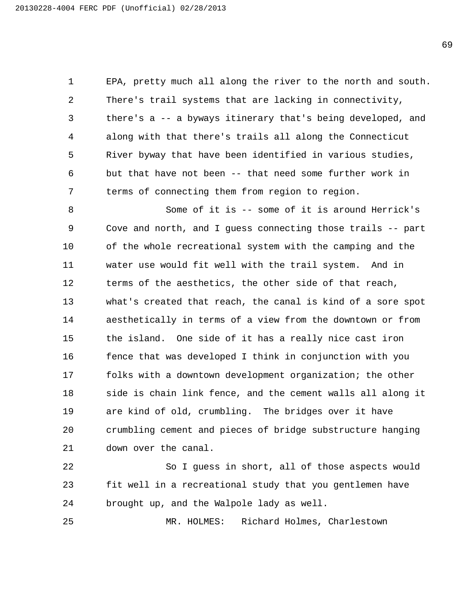EPA, pretty much all along the river to the north and south. There's trail systems that are lacking in connectivity, there's a -- a byways itinerary that's being developed, and along with that there's trails all along the Connecticut River byway that have been identified in various studies, but that have not been -- that need some further work in terms of connecting them from region to region.

8 Some of it is -- some of it is around Herrick's Cove and north, and I guess connecting those trails -- part of the whole recreational system with the camping and the water use would fit well with the trail system. And in terms of the aesthetics, the other side of that reach, what's created that reach, the canal is kind of a sore spot aesthetically in terms of a view from the downtown or from the island. One side of it has a really nice cast iron 16 fence that was developed I think in conjunction with you folks with a downtown development organization; the other side is chain link fence, and the cement walls all along it are kind of old, crumbling. The bridges over it have crumbling cement and pieces of bridge substructure hanging down over the canal.

22 So I guess in short, all of those aspects would fit well in a recreational study that you gentlemen have brought up, and the Walpole lady as well.

25 MR. HOLMES: Richard Holmes, Charlestown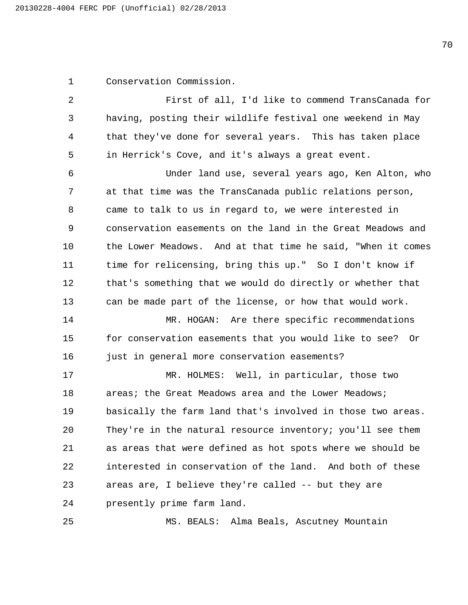Conservation Commission.

2 First of all, I'd like to commend TransCanada for having, posting their wildlife festival one weekend in May that they've done for several years. This has taken place in Herrick's Cove, and it's always a great event.

6 Under land use, several years ago, Ken Alton, who at that time was the TransCanada public relations person, came to talk to us in regard to, we were interested in conservation easements on the land in the Great Meadows and the Lower Meadows. And at that time he said, "When it comes time for relicensing, bring this up." So I don't know if that's something that we would do directly or whether that can be made part of the license, or how that would work.

14 MR. HOGAN: Are there specific recommendations for conservation easements that you would like to see? Or 16 just in general more conservation easements?

17 MR. HOLMES: Well, in particular, those two 18 areas; the Great Meadows area and the Lower Meadows; basically the farm land that's involved in those two areas. They're in the natural resource inventory; you'll see them as areas that were defined as hot spots where we should be interested in conservation of the land. And both of these areas are, I believe they're called -- but they are presently prime farm land.

25 MS. BEALS: Alma Beals, Ascutney Mountain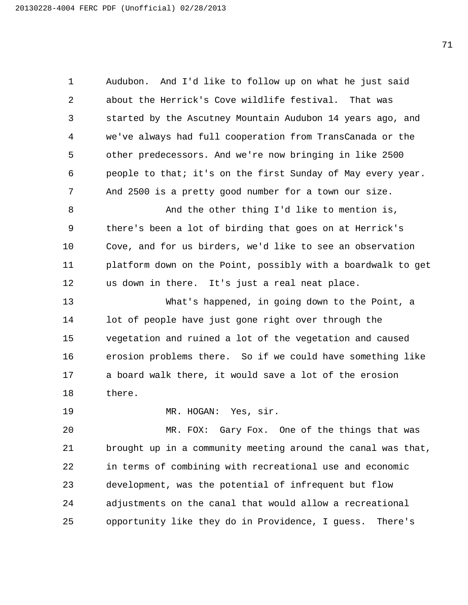Audubon. And I'd like to follow up on what he just said about the Herrick's Cove wildlife festival. That was started by the Ascutney Mountain Audubon 14 years ago, and we've always had full cooperation from TransCanada or the other predecessors. And we're now bringing in like 2500 people to that; it's on the first Sunday of May every year. And 2500 is a pretty good number for a town our size.

8 And the other thing I'd like to mention is, there's been a lot of birding that goes on at Herrick's Cove, and for us birders, we'd like to see an observation platform down on the Point, possibly with a boardwalk to get us down in there. It's just a real neat place.

13 What's happened, in going down to the Point, a lot of people have just gone right over through the vegetation and ruined a lot of the vegetation and caused erosion problems there. So if we could have something like a board walk there, it would save a lot of the erosion there.

19 MR. HOGAN: Yes, sir.

20 MR. FOX: Gary Fox. One of the things that was brought up in a community meeting around the canal was that, in terms of combining with recreational use and economic development, was the potential of infrequent but flow adjustments on the canal that would allow a recreational opportunity like they do in Providence, I guess. There's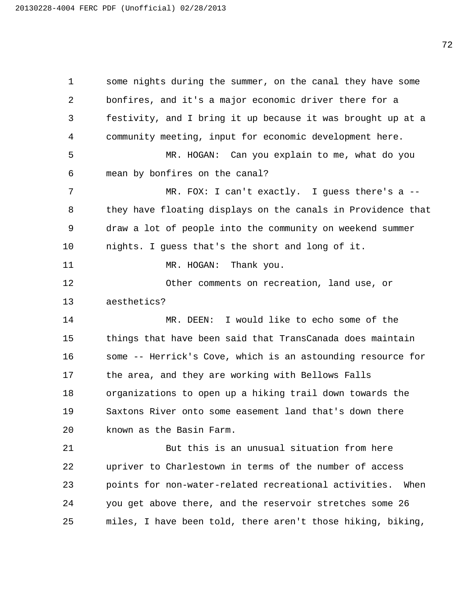some nights during the summer, on the canal they have some bonfires, and it's a major economic driver there for a festivity, and I bring it up because it was brought up at a community meeting, input for economic development here. 5 MR. HOGAN: Can you explain to me, what do you mean by bonfires on the canal? 7 MR. FOX: I can't exactly. I guess there's a -- they have floating displays on the canals in Providence that draw a lot of people into the community on weekend summer nights. I guess that's the short and long of it. 11 MR. HOGAN: Thank you. 12 Other comments on recreation, land use, or aesthetics? 14 MR. DEEN: I would like to echo some of the things that have been said that TransCanada does maintain some -- Herrick's Cove, which is an astounding resource for the area, and they are working with Bellows Falls organizations to open up a hiking trail down towards the Saxtons River onto some easement land that's down there known as the Basin Farm. 21 But this is an unusual situation from here upriver to Charlestown in terms of the number of access points for non-water-related recreational activities. When you get above there, and the reservoir stretches some 26 miles, I have been told, there aren't those hiking, biking,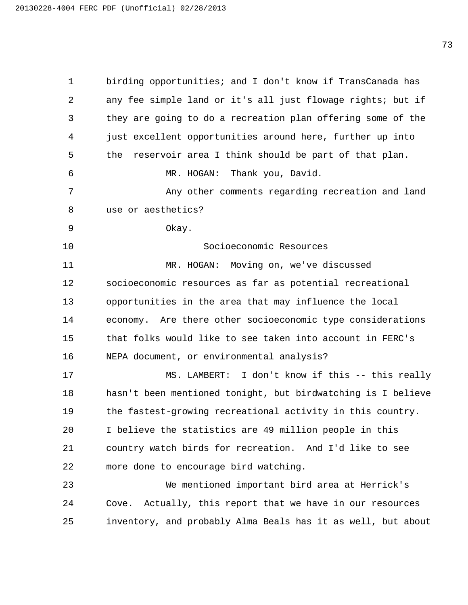birding opportunities; and I don't know if TransCanada has any fee simple land or it's all just flowage rights; but if they are going to do a recreation plan offering some of the just excellent opportunities around here, further up into the reservoir area I think should be part of that plan. 6 MR. HOGAN: Thank you, David. 7 Any other comments regarding recreation and land use or aesthetics? 9 Okay. 10 Socioeconomic Resources 11 MR. HOGAN: Moving on, we've discussed socioeconomic resources as far as potential recreational opportunities in the area that may influence the local economy. Are there other socioeconomic type considerations that folks would like to see taken into account in FERC's NEPA document, or environmental analysis? 17 MS. LAMBERT: I don't know if this -- this really hasn't been mentioned tonight, but birdwatching is I believe the fastest-growing recreational activity in this country. I believe the statistics are 49 million people in this country watch birds for recreation. And I'd like to see more done to encourage bird watching. 23 We mentioned important bird area at Herrick's Cove. Actually, this report that we have in our resources inventory, and probably Alma Beals has it as well, but about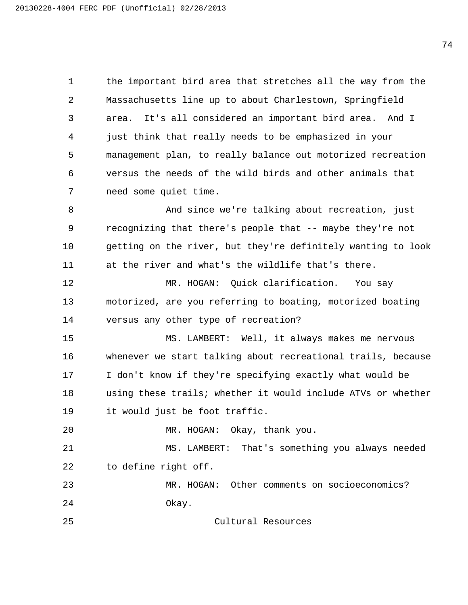the important bird area that stretches all the way from the Massachusetts line up to about Charlestown, Springfield area. It's all considered an important bird area. And I just think that really needs to be emphasized in your management plan, to really balance out motorized recreation versus the needs of the wild birds and other animals that need some quiet time.

8 And since we're talking about recreation, just recognizing that there's people that -- maybe they're not getting on the river, but they're definitely wanting to look at the river and what's the wildlife that's there.

12 MR. HOGAN: Quick clarification. You say motorized, are you referring to boating, motorized boating versus any other type of recreation?

15 MS. LAMBERT: Well, it always makes me nervous whenever we start talking about recreational trails, because I don't know if they're specifying exactly what would be using these trails; whether it would include ATVs or whether it would just be foot traffic.

20 MR. HOGAN: Okay, thank you.

21 MS. LAMBERT: That's something you always needed to define right off.

23 MR. HOGAN: Other comments on socioeconomics? 24 Okay.

25 Cultural Resources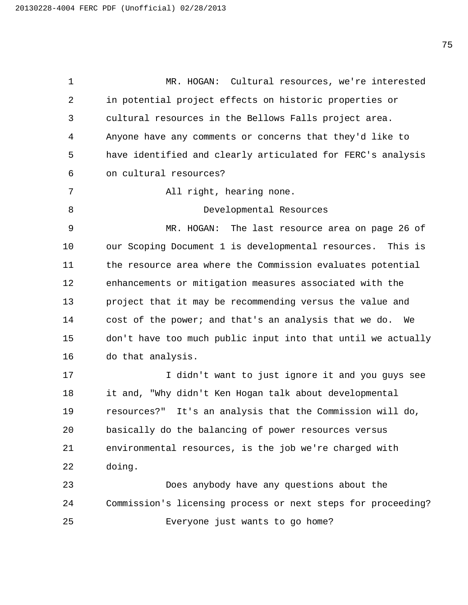1 MR. HOGAN: Cultural resources, we're interested in potential project effects on historic properties or cultural resources in the Bellows Falls project area. Anyone have any comments or concerns that they'd like to have identified and clearly articulated for FERC's analysis on cultural resources? 7 All right, hearing none. 8 Developmental Resources 9 MR. HOGAN: The last resource area on page 26 of our Scoping Document 1 is developmental resources. This is the resource area where the Commission evaluates potential enhancements or mitigation measures associated with the project that it may be recommending versus the value and cost of the power; and that's an analysis that we do. We don't have too much public input into that until we actually do that analysis. 17 I didn't want to just ignore it and you guys see it and, "Why didn't Ken Hogan talk about developmental resources?" It's an analysis that the Commission will do, basically do the balancing of power resources versus environmental resources, is the job we're charged with doing. 23 Does anybody have any questions about the Commission's licensing process or next steps for proceeding? 25 Everyone just wants to go home?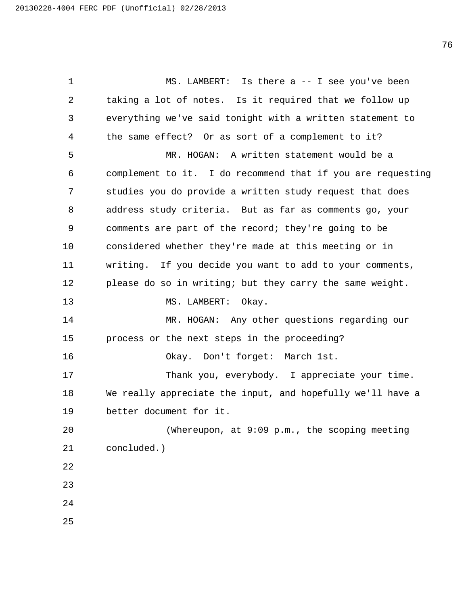1 MS. LAMBERT: Is there a -- I see you've been taking a lot of notes. Is it required that we follow up everything we've said tonight with a written statement to the same effect? Or as sort of a complement to it? 5 MR. HOGAN: A written statement would be a complement to it. I do recommend that if you are requesting studies you do provide a written study request that does address study criteria. But as far as comments go, your comments are part of the record; they're going to be considered whether they're made at this meeting or in writing. If you decide you want to add to your comments, please do so in writing; but they carry the same weight. 13 MS. LAMBERT: Okay. 14 MR. HOGAN: Any other questions regarding our process or the next steps in the proceeding? 16 Okay. Don't forget: March 1st. 17 Thank you, everybody. I appreciate your time. We really appreciate the input, and hopefully we'll have a better document for it. 20 (Whereupon, at 9:09 p.m., the scoping meeting concluded.)